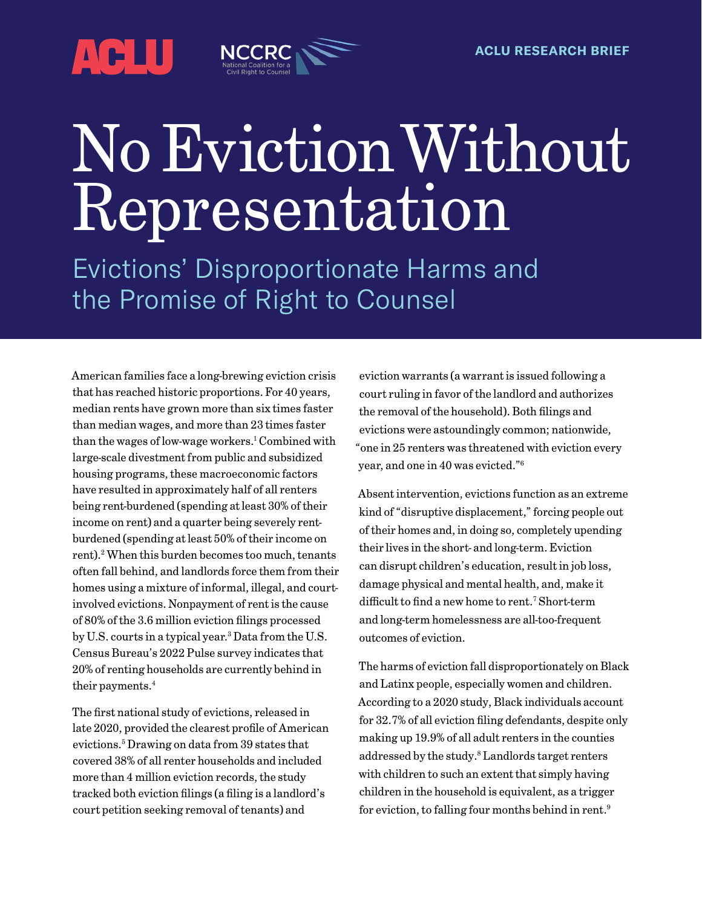<span id="page-0-0"></span>

# No Eviction Without Representation

Evictions' Disproportionate Harms and the Promise of Right to Counsel

American families face a long-brewing eviction crisis that has reached historic proportions. For 40 years, median rents have grown more than six times faster than median wages, and more than 23 times faster than the wages of low-wage workers.<sup>1</sup> Combined with large-scale divestment from public and subsidized housing programs, these macroeconomic factors have resulted in approximately half of all renters being rent-burdened (spending at least 30% of their income on rent) and a quarter being severely rentburdened (spending at least 50% of their income on rent).<sup>2</sup> When this burden becomes too much, tenants often fall behind, and landlords force them from their homes using a mixture of informal, illegal, and courtinvolved evictions. Nonpayment of rent is the cause of 80% of the 3.6 million eviction filings processed by U.S. courts in a typical year.[3](#page-15-0) Data from the U.S. Census Bureau's 2022 Pulse survey indicates that 20% of renting households are currently behind in their payments.<sup>[4](#page-15-0)</sup>

The first national study of evictions, released in late 2020, provided the clearest profile of American evictions[.5](#page-15-0) Drawing on data from 39 states that covered 38% of all renter households and included more than 4 million eviction records, the study tracked both eviction filings (a filing is a landlord's court petition seeking removal of tenants) and

eviction warrants (a warrant is issued following a court ruling in favor of the landlord and authorizes the removal of the household). Both filings and evictions were astoundingly common; nationwide, "one in 25 renters was threatened with eviction every year, and one in 40 was evicted.["6](#page-15-0)

Absent intervention, evictions function as an extreme kind of "disruptive displacement," forcing people out of their homes and, in doing so, completely upending their lives in the short- and long-term. Eviction can disrupt children's education, result in job loss, damage physical and mental health, and, make it difficult to find a new home to rent.<sup>[7](#page-15-0)</sup> Short-term and long-term homelessness are all-too-frequent outcomes of eviction.

The harms of eviction fall disproportionately on Black and Latinx people, especially women and children. According to a 2020 study, Black individuals account for 32.7% of all eviction filing defendants, despite only making up 19.9% of all adult renters in the counties addressed by the study.<sup>8</sup> Landlords target renters with children to such an extent that simply having children in the household is equivalent, as a trigger for eviction, to falling four months behind in rent.<sup>9</sup>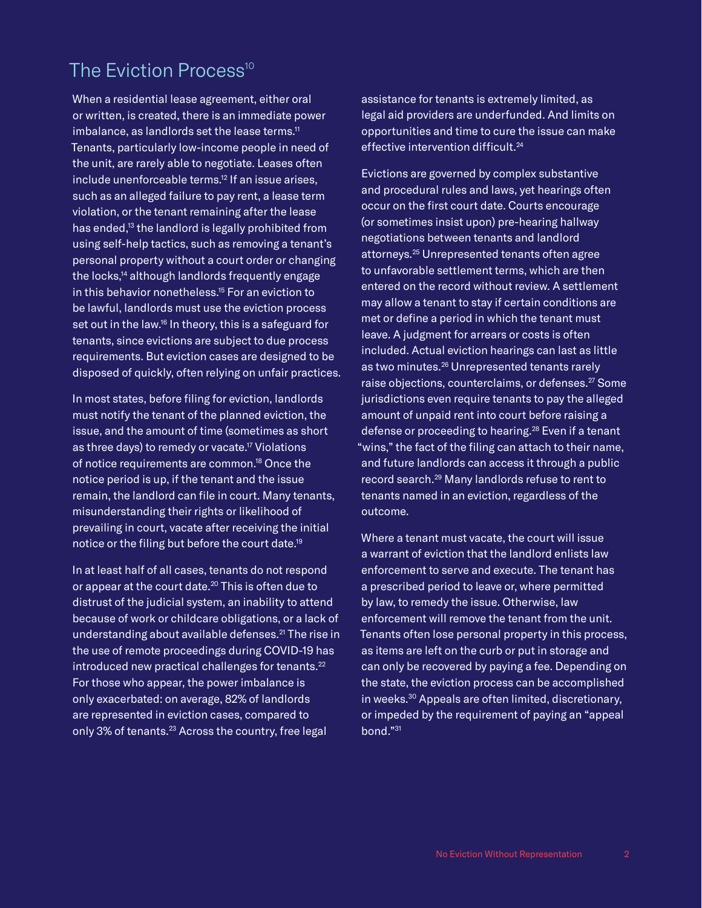# <span id="page-1-0"></span>The Fviction Process<sup>[10](#page-15-0)</sup>

When a residential lease agreement, either oral or written, is created, there is an immediate power imbalance, as landlords set the lease terms.<sup>11</sup> Tenants, particularly low-income people in need of the unit, are rarely able to negotiate. Leases often include unenforceable terms.<sup>12</sup> If an issue arises, such as an alleged failure to pay rent, a lease term violation, or the tenant remaining after the lease has ended,<sup>13</sup> the landlord is legally prohibited from using self-help tactics, such as removing a tenant's personal property without a court order or changing the locks,<sup>14</sup> although landlords frequently engage in this behavior nonetheless.<sup>15</sup> For an eviction to be lawful, landlords must use the eviction process set out in the law.<sup>16</sup> In theory, this is a safeguard for tenants, since evictions are subject to due process requirements. But eviction cases are designed to be disposed of quickly, often relying on unfair practices.

In most states, before filing for eviction, landlords must notify the tenant of the planned eviction, the issue, and the amount of time (sometimes as short as three days) to remedy or vacate.<sup>17</sup> Violations of notice requirements are common[.18](#page-15-0) Once the notice period is up, if the tenant and the issue remain, the landlord can file in court. Many tenants, misunderstanding their rights or likelihood of prevailing in court, vacate after receiving the initial notice or the filing but before the court date[.19](#page-15-0)

In at least half of all cases, tenants do not respond or appear at the court date.<sup>20</sup> This is often due to distrust of the judicial system, an inability to attend because of work or childcare obligations, or a lack of understanding about available defenses.<sup>[21](#page-16-0)</sup> The rise in the use of remote proceedings during COVID-19 has introduced new practical challenges for tenants.<sup>[22](#page-16-0)</sup> For those who appear, the power imbalance is only exacerbated: on average, 82% of landlords are represented in eviction cases, compared to only 3% of tenants.<sup>23</sup> Across the country, free legal

assistance for tenants is extremely limited, as legal aid providers are underfunded. And limits on opportunities and time to cure the issue can make effective intervention difficult.[24](#page-16-0)

Evictions are governed by complex substantive and procedural rules and laws, yet hearings often occur on the first court date. Courts encourage (or sometimes insist upon) pre-hearing hallway negotiations between tenants and landlord attorneys.[25](#page-16-0) Unrepresented tenants often agree to unfavorable settlement terms, which are then entered on the record without review. A settlement may allow a tenant to stay if certain conditions are met or define a period in which the tenant must leave. A judgment for arrears or costs is often included. Actual eviction hearings can last as little as two minutes.[26](#page-16-0) Unrepresented tenants rarely raise objections, counterclaims, or defenses.<sup>27</sup> Some jurisdictions even require tenants to pay the alleged amount of unpaid rent into court before raising a defense or proceeding to hearing.<sup>28</sup> Even if a tenant "wins," the fact of the filing can attach to their name, and future landlords can access it through a public record search.[29](#page-16-0) Many landlords refuse to rent to tenants named in an eviction, regardless of the outcome.

Where a tenant must vacate, the court will issue a warrant of eviction that the landlord enlists law enforcement to serve and execute. The tenant has a prescribed period to leave or, where permitted by law, to remedy the issue. Otherwise, law enforcement will remove the tenant from the unit. Tenants often lose personal property in this process, as items are left on the curb or put in storage and can only be recovered by paying a fee. Depending on the state, the eviction process can be accomplished in weeks[.30](#page-17-0) Appeals are often limited, discretionary, or impeded by the requirement of paying an "appeal bond."[31](#page-17-0)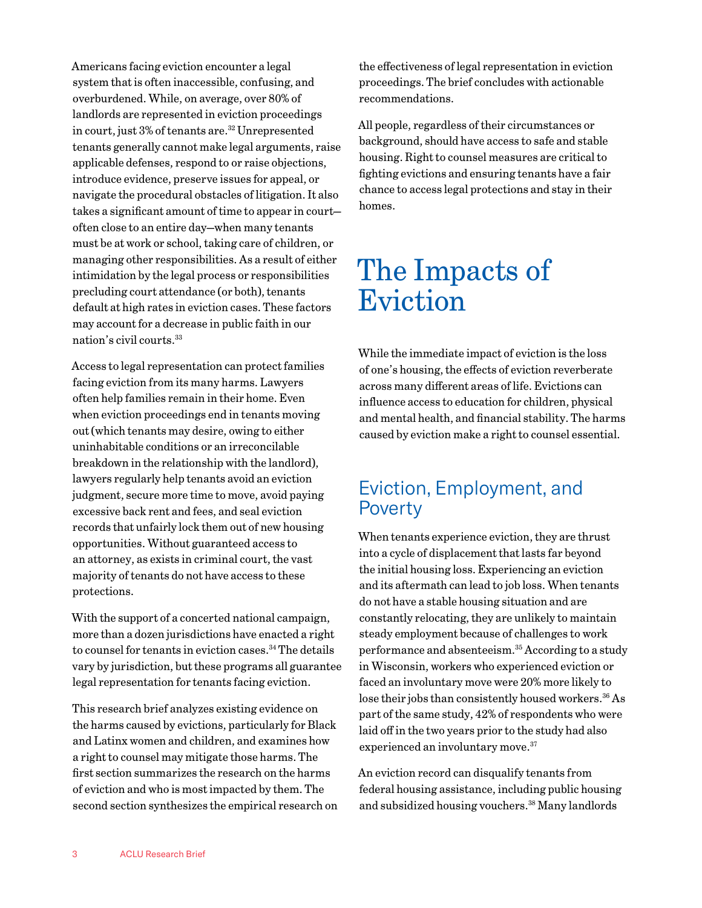<span id="page-2-0"></span>Americans facing eviction encounter a legal system that is often inaccessible, confusing, and overburdened. While, on average, over 80% of landlords are represented in eviction proceedings in court, just 3% of tenants are.<sup>[32](#page-17-0)</sup> Unrepresented tenants generally cannot make legal arguments, raise applicable defenses, respond to or raise objections, introduce evidence, preserve issues for appeal, or navigate the procedural obstacles of litigation. It also takes a significant amount of time to appear in court often close to an entire day—when many tenants must be at work or school, taking care of children, or managing other responsibilities. As a result of either intimidation by the legal process or responsibilities precluding court attendance (or both), tenants default at high rates in eviction cases. These factors may account for a decrease in public faith in our nation's civil courts.[33](#page-17-0)

Access to legal representation can protect families facing eviction from its many harms. Lawyers often help families remain in their home. Even when eviction proceedings end in tenants moving out (which tenants may desire, owing to either uninhabitable conditions or an irreconcilable breakdown in the relationship with the landlord), lawyers regularly help tenants avoid an eviction judgment, secure more time to move, avoid paying excessive back rent and fees, and seal eviction records that unfairly lock them out of new housing opportunities. Without guaranteed access to an attorney, as exists in criminal court, the vast majority of tenants do not have access to these protections.

With the support of a concerted national campaign, more than a dozen jurisdictions have enacted a right to counsel for tenants in eviction cases.<sup>[34](#page-17-0)</sup> The details vary by jurisdiction, but these programs all guarantee legal representation for tenants facing eviction.

This research brief analyzes existing evidence on the harms caused by evictions, particularly for Black and Latinx women and children, and examines how a right to counsel may mitigate those harms. The first section summarizes the research on the harms of eviction and who is most impacted by them. The second section synthesizes the empirical research on the effectiveness of legal representation in eviction proceedings. The brief concludes with actionable recommendations.

All people, regardless of their circumstances or background, should have access to safe and stable housing. Right to counsel measures are critical to fighting evictions and ensuring tenants have a fair chance to access legal protections and stay in their homes.

# The Impacts of Eviction

While the immediate impact of eviction is the loss of one's housing, the effects of eviction reverberate across many different areas of life. Evictions can influence access to education for children, physical and mental health, and financial stability. The harms caused by eviction make a right to counsel essential.

### Eviction, Employment, and Poverty

When tenants experience eviction, they are thrust into a cycle of displacement that lasts far beyond the initial housing loss. Experiencing an eviction and its aftermath can lead to job loss. When tenants do not have a stable housing situation and are constantly relocating, they are unlikely to maintain steady employment because of challenges to work performance and absenteeism[.35](#page-17-0) According to a study in Wisconsin, workers who experienced eviction or faced an involuntary move were 20% more likely to lose their jobs than consistently housed workers.<sup>36</sup> As part of the same study, 42% of respondents who were laid off in the two years prior to the study had also experienced an involuntary move.<sup>37</sup>

An eviction record can disqualify tenants from federal housing assistance, including public housing and subsidized housing vouchers.[38](#page-17-0) Many landlords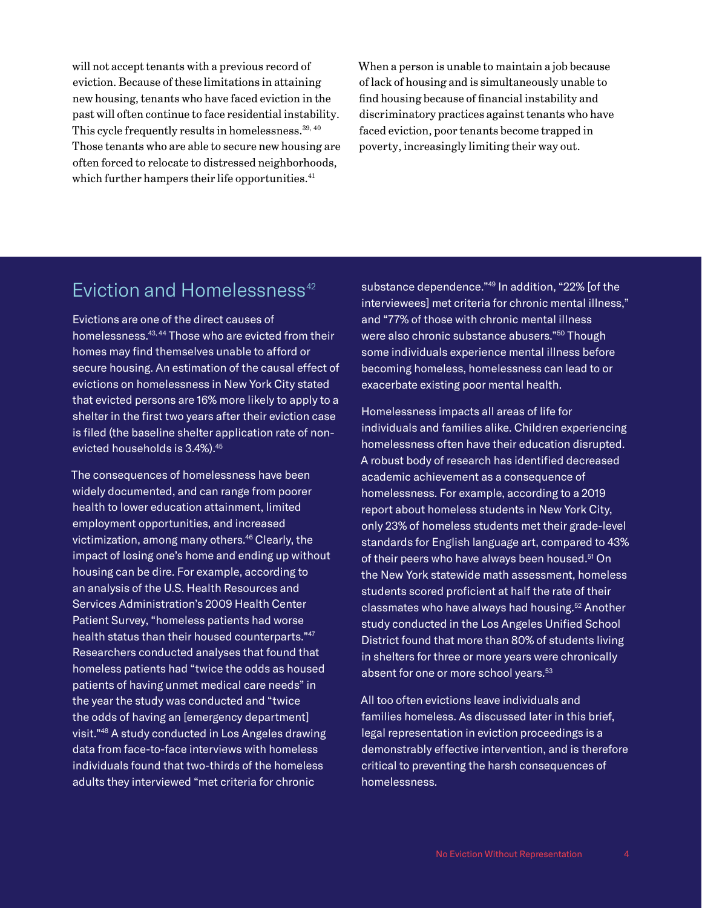<span id="page-3-0"></span>will not accept tenants with a previous record of eviction. Because of these limitations in attaining new housing, tenants who have faced eviction in the past will often continue to face residential instability. This cycle frequently results in homelessness.  $39, 40$  $39, 40$  $39, 40$ Those tenants who are able to secure new housing are often forced to relocate to distressed neighborhoods, which further hampers their life opportunities. $41$ 

When a person is unable to maintain a job because of lack of housing and is simultaneously unable to find housing because of financial instability and discriminatory practices against tenants who have faced eviction, poor tenants become trapped in poverty, increasingly limiting their way out.

### Fviction and Homelessness $42$

Evictions are one of the direct causes of homelessness[.43, 44](#page-17-0) Those who are evicted from their homes may find themselves unable to afford or secure housing. An estimation of the causal effect of evictions on homelessness in New York City stated that evicted persons are 16% more likely to apply to a shelter in the first two years after their eviction case is filed (the baseline shelter application rate of nonevicted households is 3.4%)[.45](#page-17-0)

The consequences of homelessness have been widely documented, and can range from poorer health to lower education attainment, limited employment opportunities, and increased victimization, among many others.<sup>46</sup> Clearly, the impact of losing one's home and ending up without housing can be dire. For example, according to an analysis of the U.S. Health Resources and Services Administration's 2009 Health Center Patient Survey, "homeless patients had worse health status than their housed counterparts."[47](#page-17-0) Researchers conducted analyses that found that homeless patients had "twice the odds as housed patients of having unmet medical care needs" in the year the study was conducted and "twice the odds of having an [emergency department] visit.["48](#page-17-0) A study conducted in Los Angeles drawing data from face-to-face interviews with homeless individuals found that two-thirds of the homeless adults they interviewed "met criteria for chronic

substance dependence.["49](#page-17-0) In addition, "22% [of the interviewees] met criteria for chronic mental illness," and "77% of those with chronic mental illness were also chronic substance abusers."<sup>50</sup> Though some individuals experience mental illness before becoming homeless, homelessness can lead to or exacerbate existing poor mental health.

Homelessness impacts all areas of life for individuals and families alike. Children experiencing homelessness often have their education disrupted. A robust body of research has identified decreased academic achievement as a consequence of homelessness. For example, according to a 2019 report about homeless students in New York City, only 23% of homeless students met their grade-level standards for English language art, compared to 43% of their peers who have always been housed.<sup>[51](#page-17-0)</sup> On the New York statewide math assessment, homeless students scored proficient at half the rate of their classmates who have always had housing.<sup>52</sup> Another study conducted in the Los Angeles Unified School District found that more than 80% of students living in shelters for three or more years were chronically absent for one or more school years.<sup>[53](#page-17-0)</sup>

All too often evictions leave individuals and families homeless. As discussed later in this brief, legal representation in eviction proceedings is a demonstrably effective intervention, and is therefore critical to preventing the harsh consequences of homelessness.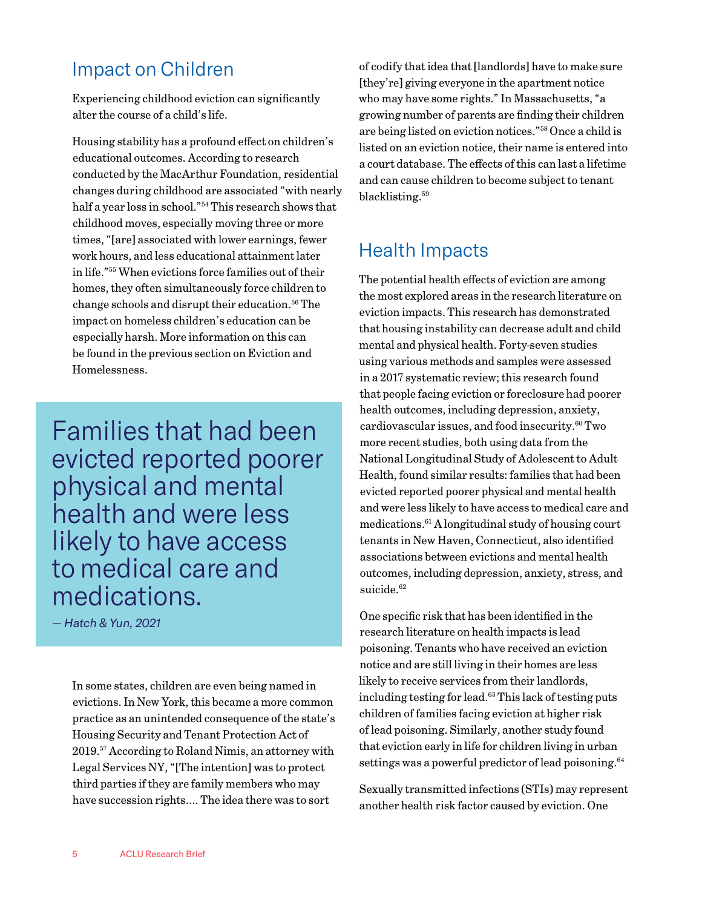## <span id="page-4-0"></span>Impact on Children

Experiencing childhood eviction can significantly alter the course of a child's life.

Housing stability has a profound effect on children's educational outcomes. According to research conducted by the MacArthur Foundation, residential changes during childhood are associated "with nearly half a year loss in school."[54](#page-17-0) This research shows that childhood moves, especially moving three or more times, "[are] associated with lower earnings, fewer work hours, and less educational attainment later in life.["55](#page-18-0) When evictions force families out of their homes, they often simultaneously force children to change schools and disrupt their education[.56](#page-18-0) The impact on homeless children's education can be especially harsh. More information on this can be found in the previous section on Eviction and Homelessness.

Families that had been evicted reported poorer physical and mental health and were less likely to have access to medical care and medications.

*— Hatch & Yun, 2021*

In some states, children are even being named in evictions. In New York, this became a more common practice as an unintended consequence of the state's Housing Security and Tenant Protection Act of 2019[.57](#page-18-0) According to Roland Nimis, an attorney with Legal Services NY, "[The intention] was to protect third parties if they are family members who may have succession rights…. The idea there was to sort

of codify that idea that [landlords] have to make sure [they're] giving everyone in the apartment notice who may have some rights." In Massachusetts, "a growing number of parents are finding their children are being listed on eviction notices.["58](#page-18-0) Once a child is listed on an eviction notice, their name is entered into a court database. The effects of this can last a lifetime and can cause children to become subject to tenant blacklisting.<sup>[59](#page-18-0)</sup>

# Health Impacts

The potential health effects of eviction are among the most explored areas in the research literature on eviction impacts. This research has demonstrated that housing instability can decrease adult and child mental and physical health. Forty-seven studies using various methods and samples were assessed in a 2017 systematic review; this research found that people facing eviction or foreclosure had poorer health outcomes, including depression, anxiety, cardiovascular issues, and food insecurity. $60$  Two more recent studies, both using data from the National Longitudinal Study of Adolescent to Adult Health, found similar results: families that had been evicted reported poorer physical and mental health and were less likely to have access to medical care and medications.[61](#page-18-0) A longitudinal study of housing court tenants in New Haven, Connecticut, also identified associations between evictions and mental health outcomes, including depression, anxiety, stress, and suicide.<sup>62</sup>

One specific risk that has been identified in the research literature on health impacts is lead poisoning. Tenants who have received an eviction notice and are still living in their homes are less likely to receive services from their landlords, including testing for lead.[63](#page-18-0) This lack of testing puts children of families facing eviction at higher risk of lead poisoning. Similarly, another study found that eviction early in life for children living in urban settings was a powerful predictor of lead poisoning.<sup>64</sup>

Sexually transmitted infections (STIs) may represent another health risk factor caused by eviction. One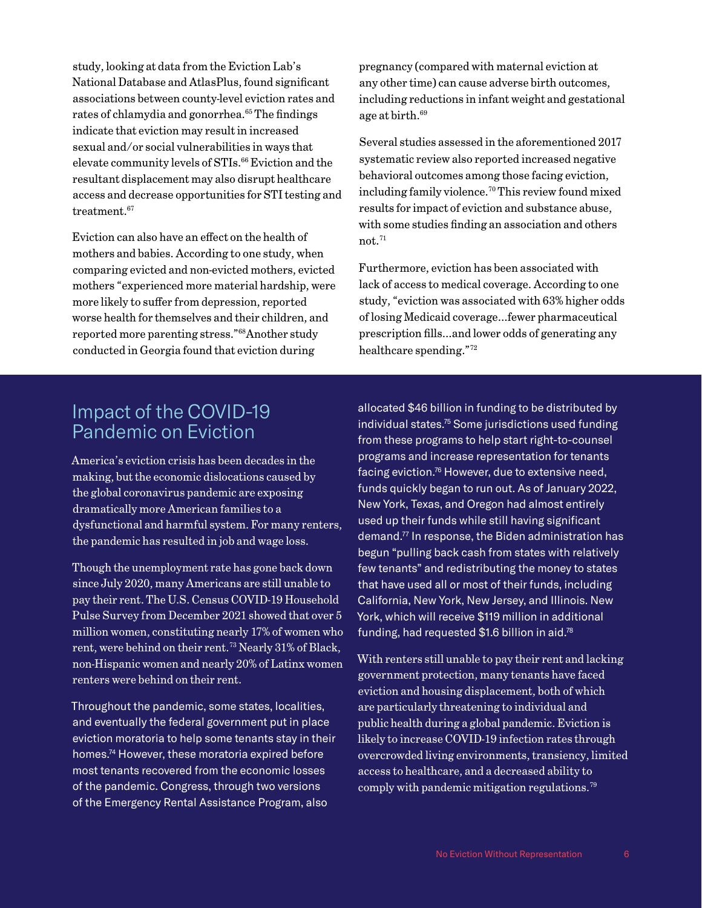<span id="page-5-0"></span>study, looking at data from the Eviction Lab's National Database and AtlasPlus, found significant associations between county-level eviction rates and rates of chlamydia and gonorrhea.<sup>[65](#page-18-0)</sup> The findings indicate that eviction may result in increased sexual and/or social vulnerabilities in ways that elevate community levels of STIs.<sup>66</sup> Eviction and the resultant displacement may also disrupt healthcare access and decrease opportunities for STI testing and treatment.<sup>[67](#page-18-0)</sup>

Eviction can also have an effect on the health of mothers and babies. According to one study, when comparing evicted and non-evicted mothers, evicted mothers "experienced more material hardship, were more likely to suffer from depression, reported worse health for themselves and their children, and reported more parenting stress.["68A](#page-18-0)nother study conducted in Georgia found that eviction during

pregnancy (compared with maternal eviction at any other time) can cause adverse birth outcomes, including reductions in infant weight and gestational age at birth[.69](#page-18-0)

Several studies assessed in the aforementioned 2017 systematic review also reported increased negative behavioral outcomes among those facing eviction, including family violence[.70](#page-18-0) This review found mixed results for impact of eviction and substance abuse, with some studies finding an association and others  $not.<sup>71</sup>$  $not.<sup>71</sup>$  $not.<sup>71</sup>$ 

Furthermore, eviction has been associated with lack of access to medical coverage. According to one study, "eviction was associated with 63% higher odds of losing Medicaid coverage…fewer pharmaceutical prescription fills…and lower odds of generating any healthcare spending.["72](#page-18-0)

### Impact of the COVID-19 Pandemic on Eviction

America's eviction crisis has been decades in the making, but the economic dislocations caused by the global coronavirus pandemic are exposing dramatically more American families to a dysfunctional and harmful system. For many renters, the pandemic has resulted in job and wage loss.

Though the unemployment rate has gone back down since July 2020, many Americans are still unable to pay their rent. The U.S. Census COVID-19 Household Pulse Survey from December 2021 showed that over 5 million women, constituting nearly 17% of women who rent, were behind on their rent.<sup>[73](#page-18-0)</sup> Nearly 31% of Black, non-Hispanic women and nearly 20% of Latinx women renters were behind on their rent.

Throughout the pandemic, some states, localities, and eventually the federal government put in place eviction moratoria to help some tenants stay in their homes.<sup>74</sup> However, these moratoria expired before most tenants recovered from the economic losses of the pandemic. Congress, through two versions of the Emergency Rental Assistance Program, also

allocated \$46 billion in funding to be distributed by individual states.<sup>75</sup> Some jurisdictions used funding from these programs to help start right-to-counsel programs and increase representation for tenants facing eviction.<sup>76</sup> However, due to extensive need, funds quickly began to run out. As of January 2022, New York, Texas, and Oregon had almost entirely used up their funds while still having significant demand[.77](#page-18-0) In response, the Biden administration has begun "pulling back cash from states with relatively few tenants" and redistributing the money to states that have used all or most of their funds, including California, New York, New Jersey, and Illinois. New York, which will receive \$119 million in additional funding, had requested  $$1.6$  billion in aid.<sup>78</sup>

With renters still unable to pay their rent and lacking government protection, many tenants have faced eviction and housing displacement, both of which are particularly threatening to individual and public health during a global pandemic. Eviction is likely to increase COVID-19 infection rates through overcrowded living environments, transiency, limited access to healthcare, and a decreased ability to comply with pandemic mitigation regulations[.79](#page-19-0)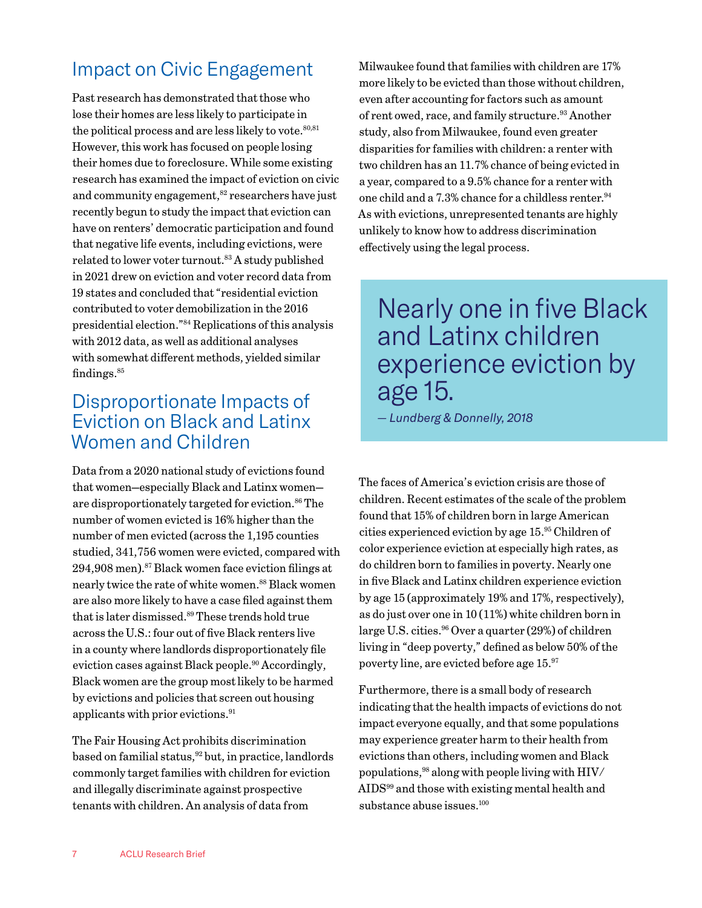# <span id="page-6-0"></span>Impact on Civic Engagement

Past research has demonstrated that those who lose their homes are less likely to participate in the political process and are less likely to vote. $80,81$ However, this work has focused on people losing their homes due to foreclosure. While some existing research has examined the impact of eviction on civic and community engagement,<sup>[82](#page-19-0)</sup> researchers have just recently begun to study the impact that eviction can have on renters' democratic participation and found that negative life events, including evictions, were related to lower voter turnout.<sup>[83](#page-19-0)</sup> A study published in 2021 drew on eviction and voter record data from 19 states and concluded that "residential eviction contributed to voter demobilization in the 2016 presidential election.["84](#page-19-0) Replications of this analysis with 2012 data, as well as additional analyses with somewhat different methods, yielded similar findings.<sup>85</sup>

### Disproportionate Impacts of Eviction on Black and Latinx Women and Children

Data from a 2020 national study of evictions found that women—especially Black and Latinx women are disproportionately targeted for eviction.<sup>86</sup> The number of women evicted is 16% higher than the number of men evicted (across the 1,195 counties studied, 341,756 women were evicted, compared with  $294,908$  men).<sup>87</sup> Black women face eviction filings at nearly twice the rate of white women.<sup>88</sup> Black women are also more likely to have a case filed against them that is later dismissed.<sup>[89](#page-19-0)</sup> These trends hold true across the U.S.: four out of five Black renters live in a county where landlords disproportionately file eviction cases against Black people.<sup>[90](#page-19-0)</sup> Accordingly, Black women are the group most likely to be harmed by evictions and policies that screen out housing applicants with prior evictions.[91](#page-19-0)

The Fair Housing Act prohibits discrimination based on familial status,  $92$  but, in practice, landlords commonly target families with children for eviction and illegally discriminate against prospective tenants with children. An analysis of data from

Milwaukee found that families with children are 17% more likely to be evicted than those without children, even after accounting for factors such as amount of rent owed, race, and family structure.<sup>93</sup> Another study, also from Milwaukee, found even greater disparities for families with children: a renter with two children has an 11.7% chance of being evicted in a year, compared to a 9.5% chance for a renter with one child and a 7.3% chance for a childless renter.<sup>94</sup> As with evictions, unrepresented tenants are highly unlikely to know how to address discrimination effectively using the legal process.

# Nearly one in five Black and Latinx children experience eviction by age 15.

*— Lundberg & Donnelly, 2018*

The faces of America's eviction crisis are those of children. Recent estimates of the scale of the problem found that 15% of children born in large American cities experienced eviction by age 15.[95](#page-19-0) Children of color experience eviction at especially high rates, as do children born to families in poverty. Nearly one in five Black and Latinx children experience eviction by age 15 (approximately 19% and 17%, respectively), as do just over one in 10 (11%) white children born in large U.S. cities.<sup>96</sup> Over a quarter (29%) of children living in "deep poverty," defined as below 50% of the poverty line, are evicted before age 15[.97](#page-19-0)

Furthermore, there is a small body of research indicating that the health impacts of evictions do not impact everyone equally, and that some populations may experience greater harm to their health from evictions than others, including women and Black populations[,98](#page-19-0) along with people living with HIV/ AID[S99](#page-19-0) and those with existing mental health and substance abuse issues.<sup>100</sup>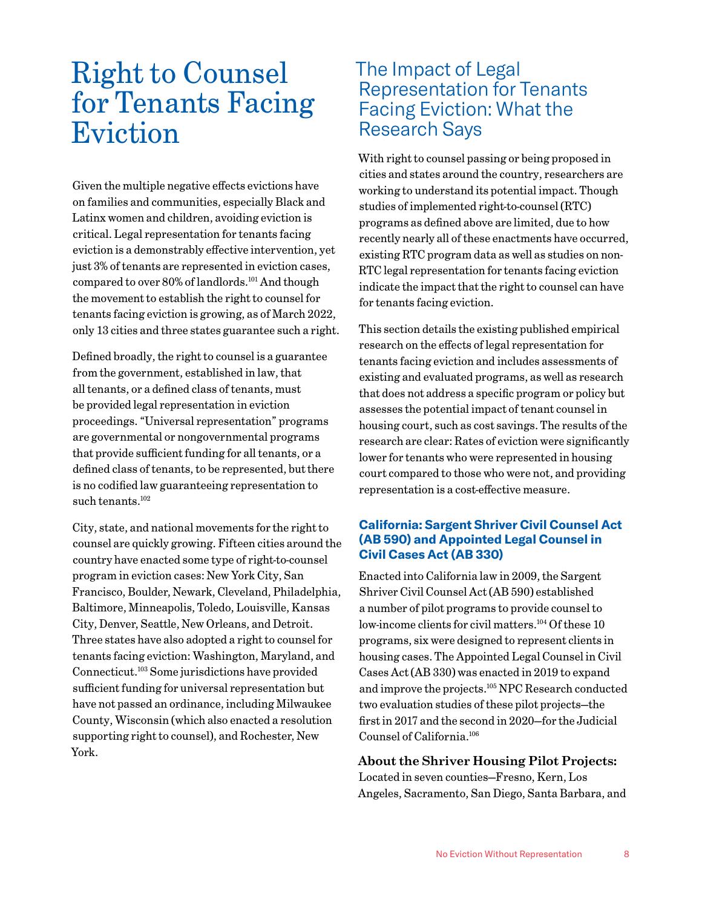# <span id="page-7-0"></span>Right to Counsel for Tenants Facing Eviction

Given the multiple negative effects evictions have on families and communities, especially Black and Latinx women and children, avoiding eviction is critical. Legal representation for tenants facing eviction is a demonstrably effective intervention, yet just 3% of tenants are represented in eviction cases, compared to over 80% of landlords[.101](#page-19-0) And though the movement to establish the right to counsel for tenants facing eviction is growing, as of March 2022, only 13 cities and three states guarantee such a right.

Defined broadly, the right to counsel is a guarantee from the government, established in law, that all tenants, or a defined class of tenants, must be provided legal representation in eviction proceedings. "Universal representation" programs are governmental or nongovernmental programs that provide sufficient funding for all tenants, or a defined class of tenants, to be represented, but there is no codified law guaranteeing representation to such tenants.<sup>102</sup>

City, state, and national movements for the right to counsel are quickly growing. Fifteen cities around the country have enacted some type of right-to-counsel program in eviction cases: New York City, San Francisco, Boulder, Newark, Cleveland, Philadelphia, Baltimore, Minneapolis, Toledo, Louisville, Kansas City, Denver, Seattle, New Orleans, and Detroit. Three states have also adopted a right to counsel for tenants facing eviction: Washington, Maryland, and Connecticut[.103](#page-19-0) Some jurisdictions have provided sufficient funding for universal representation but have not passed an ordinance, including Milwaukee County, Wisconsin (which also enacted a resolution supporting right to counsel), and Rochester, New York.

### The Impact of Legal Representation for Tenants Facing Eviction: What the Research Says

With right to counsel passing or being proposed in cities and states around the country, researchers are working to understand its potential impact. Though studies of implemented right-to-counsel (RTC) programs as defined above are limited, due to how recently nearly all of these enactments have occurred, existing RTC program data as well as studies on non-RTC legal representation for tenants facing eviction indicate the impact that the right to counsel can have for tenants facing eviction.

This section details the existing published empirical research on the effects of legal representation for tenants facing eviction and includes assessments of existing and evaluated programs, as well as research that does not address a specific program or policy but assesses the potential impact of tenant counsel in housing court, such as cost savings. The results of the research are clear: Rates of eviction were significantly lower for tenants who were represented in housing court compared to those who were not, and providing representation is a cost-effective measure.

#### **California: Sargent Shriver Civil Counsel Act (AB 590) and Appointed Legal Counsel in Civil Cases Act (AB 330)**

Enacted into California law in 2009, the Sargent Shriver Civil Counsel Act (AB 590) established a number of pilot programs to provide counsel to low-income clients for civil matters.<sup>104</sup> Of these 10 programs, six were designed to represent clients in housing cases. The Appointed Legal Counsel in Civil Cases Act (AB 330) was enacted in 2019 to expand and improve the projects[.105](#page-19-0) NPC Research conducted two evaluation studies of these pilot projects—the first in 2017 and the second in 2020—for the Judicial Counsel of California[.106](#page-20-0)

#### **About the Shriver Housing Pilot Projects:**

Located in seven counties—Fresno, Kern, Los Angeles, Sacramento, San Diego, Santa Barbara, and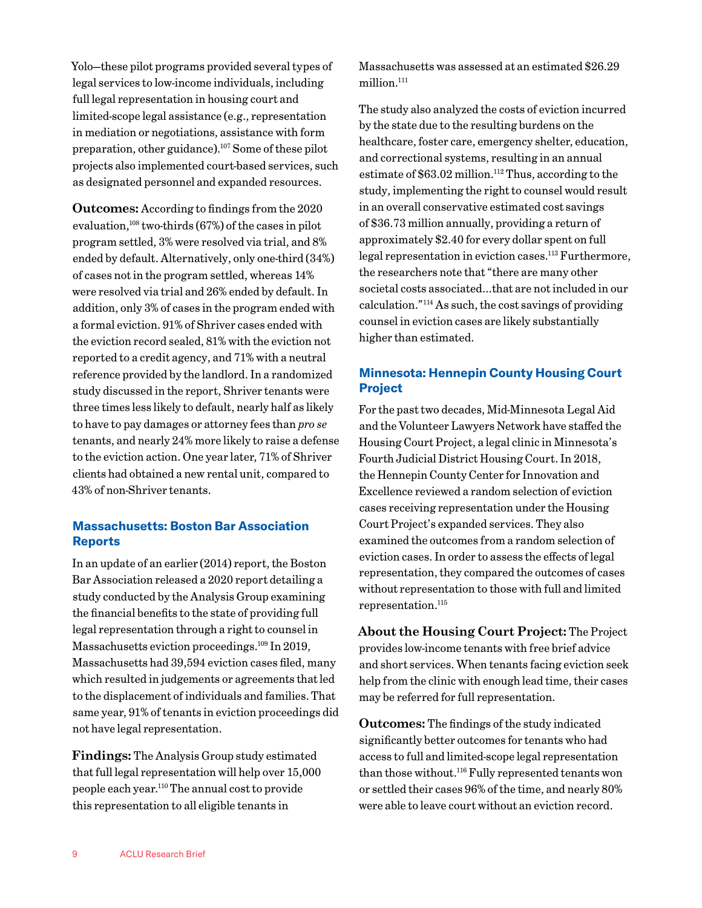<span id="page-8-0"></span>Yolo—these pilot programs provided several types of legal services to low-income individuals, including full legal representation in housing court and limited-scope legal assistance (e.g., representation in mediation or negotiations, assistance with form preparation, other guidance)[.107](#page-20-0) Some of these pilot projects also implemented court-based services, such as designated personnel and expanded resources.

**Outcomes:** According to findings from the 2020 evaluation, $108 \text{ two-thirds} (67\%)$  of the cases in pilot program settled, 3% were resolved via trial, and 8% ended by default. Alternatively, only one-third (34%) of cases not in the program settled, whereas 14% were resolved via trial and 26% ended by default. In addition, only 3% of cases in the program ended with a formal eviction. 91% of Shriver cases ended with the eviction record sealed, 81% with the eviction not reported to a credit agency, and 71% with a neutral reference provided by the landlord. In a randomized study discussed in the report, Shriver tenants were three times less likely to default, nearly half as likely to have to pay damages or attorney fees than *pro se* tenants, and nearly 24% more likely to raise a defense to the eviction action. One year later, 71% of Shriver clients had obtained a new rental unit, compared to 43% of non-Shriver tenants.

#### **Massachusetts: Boston Bar Association Reports**

In an update of an earlier (2014) report, the Boston Bar Association released a 2020 report detailing a study conducted by the Analysis Group examining the financial benefits to the state of providing full legal representation through a right to counsel in Massachusetts eviction proceedings[.109](#page-20-0) In 2019, Massachusetts had 39,594 eviction cases filed, many which resulted in judgements or agreements that led to the displacement of individuals and families. That same year, 91% of tenants in eviction proceedings did not have legal representation.

**Findings:** The Analysis Group study estimated that full legal representation will help over 15,000 people each year[.110](#page-20-0) The annual cost to provide this representation to all eligible tenants in

Massachusetts was assessed at an estimated \$26.29 million.<sup>111</sup>

The study also analyzed the costs of eviction incurred by the state due to the resulting burdens on the healthcare, foster care, emergency shelter, education, and correctional systems, resulting in an annual estimate of  $$63.02$  million.<sup>112</sup> Thus, according to the study, implementing the right to counsel would result in an overall conservative estimated cost savings of \$36.73 million annually, providing a return of approximately \$2.40 for every dollar spent on full legal representation in eviction cases.<sup>113</sup> Furthermore, the researchers note that "there are many other societal costs associated…that are not included in our calculation.["114](#page-20-0) As such, the cost savings of providing counsel in eviction cases are likely substantially higher than estimated.

#### **Minnesota: Hennepin County Housing Court Project**

For the past two decades, Mid-Minnesota Legal Aid and the Volunteer Lawyers Network have staffed the Housing Court Project, a legal clinic in Minnesota's Fourth Judicial District Housing Court. In 2018, the Hennepin County Center for Innovation and Excellence reviewed a random selection of eviction cases receiving representation under the Housing Court Project's expanded services. They also examined the outcomes from a random selection of eviction cases. In order to assess the effects of legal representation, they compared the outcomes of cases without representation to those with full and limited representation.<sup>115</sup>

**About the Housing Court Project:** The Project provides low-income tenants with free brief advice and short services. When tenants facing eviction seek help from the clinic with enough lead time, their cases may be referred for full representation.

**Outcomes:** The findings of the study indicated significantly better outcomes for tenants who had access to full and limited-scope legal representation than those without.<sup>116</sup> Fully represented tenants won or settled their cases 96% of the time, and nearly 80% were able to leave court without an eviction record.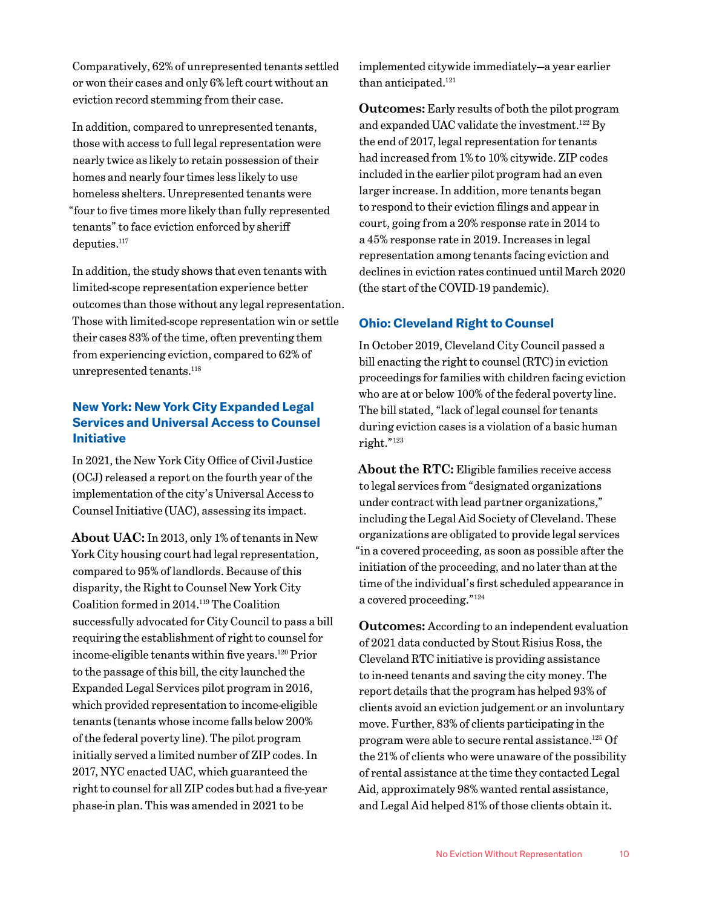<span id="page-9-0"></span>Comparatively, 62% of unrepresented tenants settled or won their cases and only 6% left court without an eviction record stemming from their case.

In addition, compared to unrepresented tenants, those with access to full legal representation were nearly twice as likely to retain possession of their homes and nearly four times less likely to use homeless shelters. Unrepresented tenants were "four to five times more likely than fully represented tenants" to face eviction enforced by sheriff deputies.<sup>117</sup>

In addition, the study shows that even tenants with limited-scope representation experience better outcomes than those without any legal representation. Those with limited-scope representation win or settle their cases 83% of the time, often preventing them from experiencing eviction, compared to 62% of unrepresented tenants.<sup>118</sup>

#### **New York: New York City Expanded Legal Services and Universal Access to Counsel Initiative**

In 2021, the New York City Office of Civil Justice (OCJ) released a report on the fourth year of the implementation of the city's Universal Access to Counsel Initiative (UAC), assessing its impact.

**About UAC:** In 2013, only 1% of tenants in New York City housing court had legal representation, compared to 95% of landlords. Because of this disparity, the Right to Counsel New York City Coalition formed in 2014[.119](#page-20-0) The Coalition successfully advocated for City Council to pass a bill requiring the establishment of right to counsel for income-eligible tenants within five years.<sup>120</sup> Prior to the passage of this bill, the city launched the Expanded Legal Services pilot program in 2016, which provided representation to income-eligible tenants (tenants whose income falls below 200% of the federal poverty line). The pilot program initially served a limited number of ZIP codes. In 2017, NYC enacted UAC, which guaranteed the right to counsel for all ZIP codes but had a five-year phase-in plan. This was amended in 2021 to be

implemented citywide immediately—a year earlier than anticipated.<sup>121</sup>

**Outcomes:** Early results of both the pilot program and expanded UAC validate the investment[.122](#page-20-0) By the end of 2017, legal representation for tenants had increased from 1% to 10% citywide. ZIP codes included in the earlier pilot program had an even larger increase. In addition, more tenants began to respond to their eviction filings and appear in court, going from a 20% response rate in 2014 to a 45% response rate in 2019. Increases in legal representation among tenants facing eviction and declines in eviction rates continued until March 2020 (the start of the COVID-19 pandemic).

#### **Ohio: Cleveland Right to Counsel**

In October 2019, Cleveland City Council passed a bill enacting the right to counsel (RTC) in eviction proceedings for families with children facing eviction who are at or below 100% of the federal poverty line. The bill stated, "lack of legal counsel for tenants during eviction cases is a violation of a basic human right."[123](#page-20-0)

**About the RTC:** Eligible families receive access to legal services from "designated organizations under contract with lead partner organizations," including the Legal Aid Society of Cleveland. These organizations are obligated to provide legal services "in a covered proceeding, as soon as possible after the initiation of the proceeding, and no later than at the time of the individual's first scheduled appearance in a covered proceeding.["124](#page-20-0)

**Outcomes:** According to an independent evaluation of 2021 data conducted by Stout Risius Ross, the Cleveland RTC initiative is providing assistance to in-need tenants and saving the city money. The report details that the program has helped 93% of clients avoid an eviction judgement or an involuntary move. Further, 83% of clients participating in the program were able to secure rental assistance[.125](#page-20-0) Of the 21% of clients who were unaware of the possibility of rental assistance at the time they contacted Legal Aid, approximately 98% wanted rental assistance, and Legal Aid helped 81% of those clients obtain it.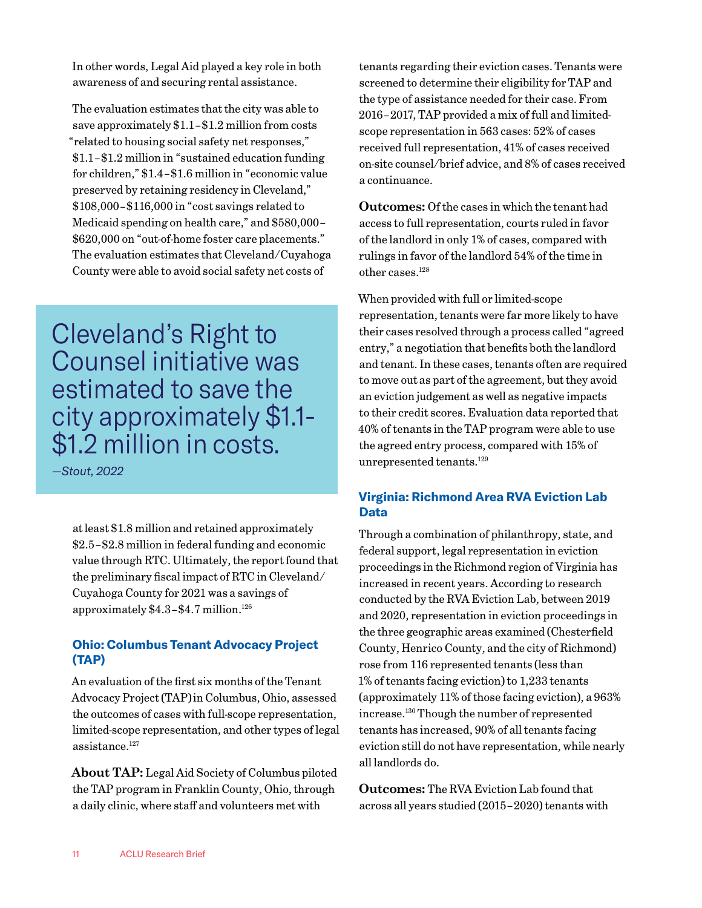<span id="page-10-0"></span>In other words, Legal Aid played a key role in both awareness of and securing rental assistance.

The evaluation estimates that the city was able to save approximately \$1.1–\$1.2 million from costs "related to housing social safety net responses," \$1.1–\$1.2 million in "sustained education funding for children," \$1.4–\$1.6 million in "economic value preserved by retaining residency in Cleveland," \$108,000–\$116,000 in "cost savings related to Medicaid spending on health care," and \$580,000– \$620,000 on "out-of-home foster care placements." The evaluation estimates that Cleveland/Cuyahoga County were able to avoid social safety net costs of

Cleveland's Right to Counsel initiative was estimated to save the city approximately \$1.1- \$1.2 million in costs.

*—Stout, 2022*

at least \$1.8 million and retained approximately \$2.5–\$2.8 million in federal funding and economic value through RTC. Ultimately, the report found that the preliminary fiscal impact of RTC in Cleveland/ Cuyahoga County for 2021 was a savings of approximately  $$4.3-$4.7$  million.<sup>126</sup>

#### **Ohio: Columbus Tenant Advocacy Project (TAP)**

An evaluation of the first six months of the Tenant Advocacy Project (TAP)in Columbus, Ohio, assessed the outcomes of cases with full-scope representation, limited-scope representation, and other types of legal assistance[.127](#page-20-0)

**About TAP:** Legal Aid Society of Columbus piloted the TAP program in Franklin County, Ohio, through a daily clinic, where staff and volunteers met with

tenants regarding their eviction cases. Tenants were screened to determine their eligibility for TAP and the type of assistance needed for their case. From 2016–2017, TAP provided a mix of full and limitedscope representation in 563 cases: 52% of cases received full representation, 41% of cases received on-site counsel/brief advice, and 8% of cases received a continuance.

**Outcomes:** Of the cases in which the tenant had access to full representation, courts ruled in favor of the landlord in only 1% of cases, compared with rulings in favor of the landlord 54% of the time in other cases[.128](#page-20-0)

When provided with full or limited-scope representation, tenants were far more likely to have their cases resolved through a process called "agreed entry," a negotiation that benefits both the landlord and tenant. In these cases, tenants often are required to move out as part of the agreement, but they avoid an eviction judgement as well as negative impacts to their credit scores. Evaluation data reported that 40% of tenants in the TAP program were able to use the agreed entry process, compared with 15% of unrepresented tenants.<sup>129</sup>

#### **Virginia: Richmond Area RVA Eviction Lab Data**

Through a combination of philanthropy, state, and federal support, legal representation in eviction proceedings in the Richmond region of Virginia has increased in recent years. According to research conducted by the RVA Eviction Lab, between 2019 and 2020, representation in eviction proceedings in the three geographic areas examined (Chesterfield County, Henrico County, and the city of Richmond) rose from 116 represented tenants (less than 1% of tenants facing eviction) to 1,233 tenants (approximately 11% of those facing eviction), a 963% increase[.130](#page-20-0) Though the number of represented tenants has increased, 90% of all tenants facing eviction still do not have representation, while nearly all landlords do.

**Outcomes:** The RVA Eviction Lab found that across all years studied (2015–2020) tenants with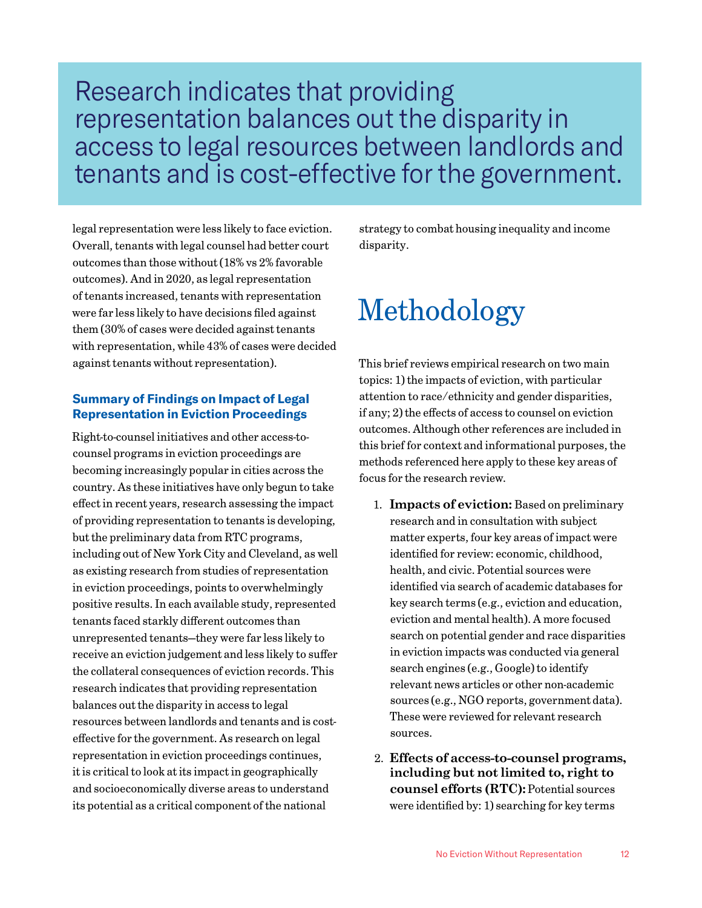# Research indicates that providing representation balances out the disparity in access to legal resources between landlords and tenants and is cost-effective for the government.

legal representation were less likely to face eviction. Overall, tenants with legal counsel had better court outcomes than those without (18% vs 2% favorable outcomes). And in 2020, as legal representation of tenants increased, tenants with representation were far less likely to have decisions filed against them (30% of cases were decided against tenants with representation, while 43% of cases were decided against tenants without representation).

#### **Summary of Findings on Impact of Legal Representation in Eviction Proceedings**

Right-to-counsel initiatives and other access-tocounsel programs in eviction proceedings are becoming increasingly popular in cities across the country. As these initiatives have only begun to take effect in recent years, research assessing the impact of providing representation to tenants is developing, but the preliminary data from RTC programs, including out of New York City and Cleveland, as well as existing research from studies of representation in eviction proceedings, points to overwhelmingly positive results. In each available study, represented tenants faced starkly different outcomes than unrepresented tenants—they were far less likely to receive an eviction judgement and less likely to suffer the collateral consequences of eviction records. This research indicates that providing representation balances out the disparity in access to legal resources between landlords and tenants and is costeffective for the government. As research on legal representation in eviction proceedings continues, it is critical to look at its impact in geographically and socioeconomically diverse areas to understand its potential as a critical component of the national

strategy to combat housing inequality and income disparity.

# Methodology

This brief reviews empirical research on two main topics: 1) the impacts of eviction, with particular attention to race/ethnicity and gender disparities, if any; 2) the effects of access to counsel on eviction outcomes. Although other references are included in this brief for context and informational purposes, the methods referenced here apply to these key areas of focus for the research review.

- 1. **Impacts of eviction:** Based on preliminary research and in consultation with subject matter experts, four key areas of impact were identified for review: economic, childhood, health, and civic. Potential sources were identified via search of academic databases for key search terms (e.g., eviction and education, eviction and mental health). A more focused search on potential gender and race disparities in eviction impacts was conducted via general search engines (e.g., Google) to identify relevant news articles or other non-academic sources (e.g., NGO reports, government data). These were reviewed for relevant research sources.
- 2. **Effects of access-to-counsel programs, including but not limited to, right to counsel efforts (RTC):** Potential sources were identified by: 1) searching for key terms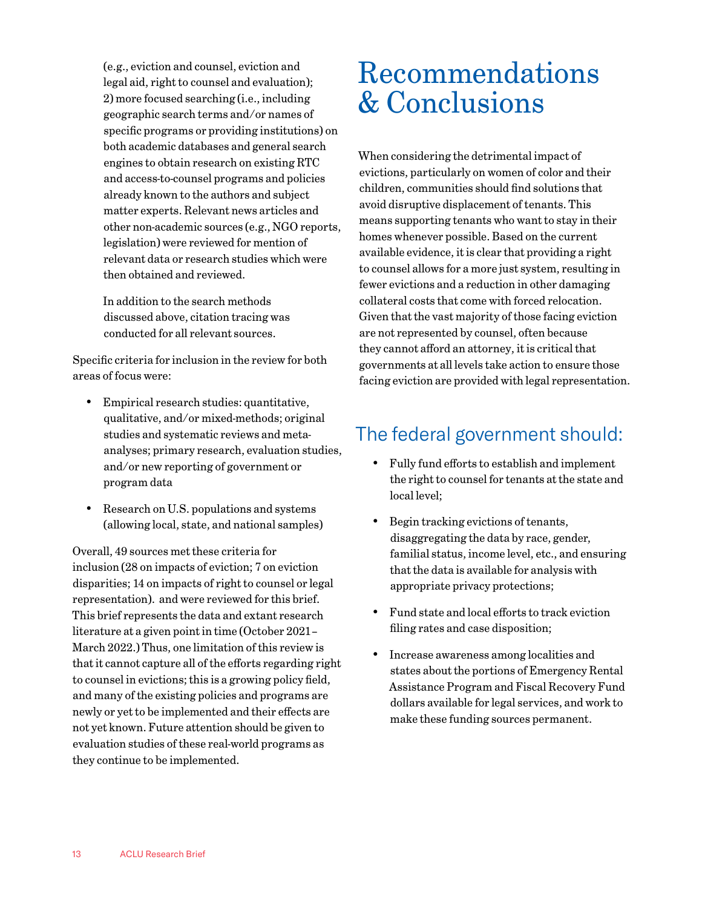(e.g., eviction and counsel, eviction and legal aid, right to counsel and evaluation); 2) more focused searching (i.e., including geographic search terms and/or names of specific programs or providing institutions) on both academic databases and general search engines to obtain research on existing RTC and access-to-counsel programs and policies already known to the authors and subject matter experts. Relevant news articles and other non-academic sources (e.g., NGO reports, legislation) were reviewed for mention of relevant data or research studies which were then obtained and reviewed.

In addition to the search methods discussed above, citation tracing was conducted for all relevant sources.

Specific criteria for inclusion in the review for both areas of focus were:

- • Empirical research studies: quantitative, qualitative, and/or mixed-methods; original studies and systematic reviews and metaanalyses; primary research, evaluation studies, and/or new reporting of government or program data
- • Research on U.S. populations and systems (allowing local, state, and national samples)

Overall, 49 sources met these criteria for inclusion (28 on impacts of eviction; 7 on eviction disparities; 14 on impacts of right to counsel or legal representation). and were reviewed for this brief. This brief represents the data and extant research literature at a given point in time (October 2021– March 2022.) Thus, one limitation of this review is that it cannot capture all of the efforts regarding right to counsel in evictions; this is a growing policy field, and many of the existing policies and programs are newly or yet to be implemented and their effects are not yet known. Future attention should be given to evaluation studies of these real-world programs as they continue to be implemented.

# Recommendations & Conclusions

When considering the detrimental impact of evictions, particularly on women of color and their children, communities should find solutions that avoid disruptive displacement of tenants. This means supporting tenants who want to stay in their homes whenever possible. Based on the current available evidence, it is clear that providing a right to counsel allows for a more just system, resulting in fewer evictions and a reduction in other damaging collateral costs that come with forced relocation. Given that the vast majority of those facing eviction are not represented by counsel, often because they cannot afford an attorney, it is critical that governments at all levels take action to ensure those facing eviction are provided with legal representation.

# The federal government should:

- Fully fund efforts to establish and implement the right to counsel for tenants at the state and local level;
- Begin tracking evictions of tenants, disaggregating the data by race, gender, familial status, income level, etc., and ensuring that the data is available for analysis with appropriate privacy protections;
- • Fund state and local efforts to track eviction filing rates and case disposition;
- • Increase awareness among localities and states about the portions of Emergency Rental Assistance Program and Fiscal Recovery Fund dollars available for legal services, and work to make these funding sources permanent.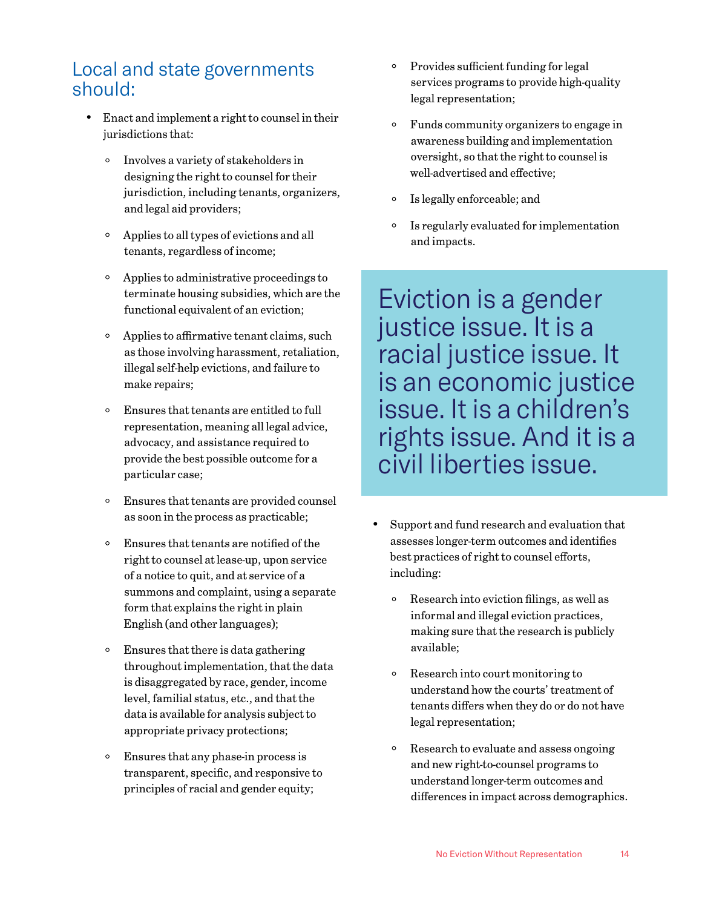### Local and state governments should:

- • Enact and implement a right to counsel in their jurisdictions that:
	- Involves a variety of stakeholders in designing the right to counsel for their jurisdiction, including tenants, organizers, and legal aid providers;
	- Applies to all types of evictions and all tenants, regardless of income;
	- Applies to administrative proceedings to terminate housing subsidies, which are the functional equivalent of an eviction;
	- Applies to affirmative tenant claims, such as those involving harassment, retaliation, illegal self-help evictions, and failure to make repairs;
	- Ensures that tenants are entitled to full representation, meaning all legal advice, advocacy, and assistance required to provide the best possible outcome for a particular case;
	- Ensures that tenants are provided counsel as soon in the process as practicable;
	- Ensures that tenants are notified of the right to counsel at lease-up, upon service of a notice to quit, and at service of a summons and complaint, using a separate form that explains the right in plain English (and other languages);
	- Ensures that there is data gathering throughout implementation, that the data is disaggregated by race, gender, income level, familial status, etc., and that the data is available for analysis subject to appropriate privacy protections;
	- Ensures that any phase-in process is transparent, specific, and responsive to principles of racial and gender equity;
- Provides sufficient funding for legal services programs to provide high-quality legal representation;
- Funds community organizers to engage in awareness building and implementation oversight, so that the right to counsel is well-advertised and effective;
- Is legally enforceable; and
- Is regularly evaluated for implementation and impacts.

Eviction is a gender justice issue. It is a racial justice issue. It is an economic justice issue. It is a children's rights issue. And it is a civil liberties issue.

- Support and fund research and evaluation that assesses longer-term outcomes and identifies best practices of right to counsel efforts, including:
	- Research into eviction filings, as well as informal and illegal eviction practices, making sure that the research is publicly available;
	- Research into court monitoring to understand how the courts' treatment of tenants differs when they do or do not have legal representation;
	- Research to evaluate and assess ongoing and new right-to-counsel programs to understand longer-term outcomes and differences in impact across demographics.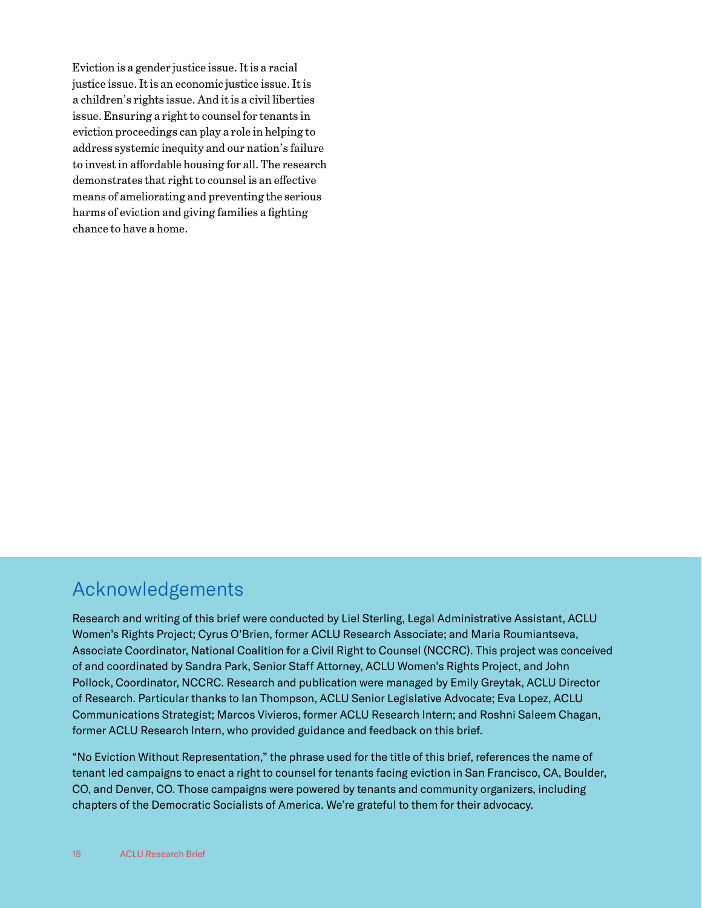Eviction is a gender justice issue. It is a racial justice issue. It is an economic justice issue. It is a children's rights issue. And it is a civil liberties issue. Ensuring a right to counsel for tenants in eviction proceedings can play a role in helping to address systemic inequity and our nation's failure to invest in affordable housing for all. The research demonstrates that right to counsel is an effective means of ameliorating and preventing the serious harms of eviction and giving families a fighting chance to have a home.

### Acknowledgements

Research and writing of this brief were conducted by Liel Sterling, Legal Administrative Assistant, ACLU Women's Rights Project; Cyrus O'Brien, former ACLU Research Associate; and Maria Roumiantseva, Associate Coordinator, National Coalition for a Civil Right to Counsel (NCCRC). This project was conceived of and coordinated by Sandra Park, Senior Staff Attorney, ACLU Women's Rights Project, and John Pollock, Coordinator, NCCRC. Research and publication were managed by Emily Greytak, ACLU Director of Research. Particular thanks to Ian Thompson, ACLU Senior Legislative Advocate; Eva Lopez, ACLU Communications Strategist; Marcos Vivieros, former ACLU Research Intern; and Roshni Saleem Chagan, former ACLU Research Intern, who provided guidance and feedback on this brief.

"No Eviction Without Representation," the phrase used for the title of this brief, references the name of tenant led campaigns to enact a right to counsel for tenants facing eviction in San Francisco, CA, Boulder, CO, and Denver, CO. Those campaigns were powered by tenants and community organizers, including chapters of the Democratic Socialists of America. We're grateful to them for their advocacy.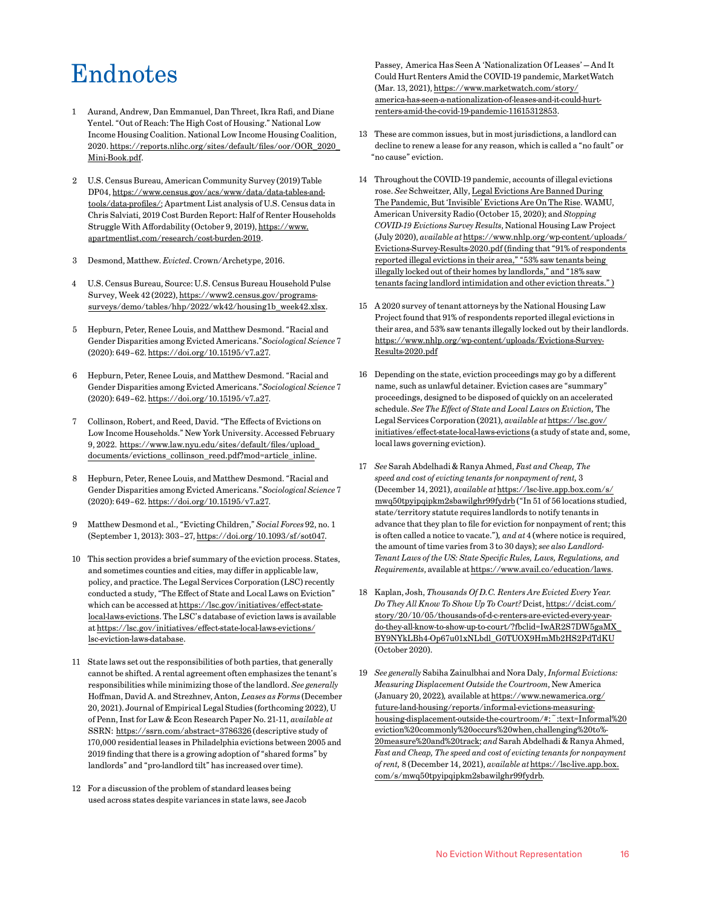# <span id="page-15-0"></span>Endnotes

- [1](#page-0-0) Aurand, Andrew, Dan Emmanuel, Dan Threet, Ikra Rafi, and Diane Yentel. "Out of Reach: The High Cost of Housing." National Low Income Housing Coalition. National Low Income Housing Coalition, 2020. [https://reports.nlihc.org/sites/default/files/oor/OOR\\_2020\\_](https://reports.nlihc.org/sites/default/files/oor/OOR_2020_Mini-Book.pdf) [Mini-Book.pdf](https://reports.nlihc.org/sites/default/files/oor/OOR_2020_Mini-Book.pdf).
- [2](#page-0-0) U.S. Census Bureau, American Community Survey (2019) Table DP04, [https://www.census.gov/acs/www/data/data-tables-and](https://www.census.gov/acs/www/data/data-tables-and-tools/data-profiles/)[tools/data-profiles/](https://www.census.gov/acs/www/data/data-tables-and-tools/data-profiles/); Apartment List analysis of U.S. Census data in Chris Salviati, 2019 Cost Burden Report: Half of Renter Households Struggle With Affordability (October 9, 2019), [https://www.](https://www.apartmentlist.com/research/cost-burden-2019) [apartmentlist.com/research/cost-burden-2019.](https://www.apartmentlist.com/research/cost-burden-2019)
- [3](#page-0-0) Desmond, Matthew. *Evicted*. Crown/Archetype, 2016.
- [4](#page-0-0) U.S. Census Bureau, Source: U.S. Census Bureau Household Pulse Survey, Week 42 (2022), [https://www2.census.gov/programs](https://www2.census.gov/programs-surveys/demo/tables/hhp/2022/wk42/housing1b_week42.xlsx)[surveys/demo/tables/hhp/2022/wk42/housing1b\\_week42.xlsx.](https://www2.census.gov/programs-surveys/demo/tables/hhp/2022/wk42/housing1b_week42.xlsx)
- [5](#page-0-0) Hepburn, Peter, Renee Louis, and Matthew Desmond. "Racial and Gender Disparities among Evicted Americans."*Sociological Science* 7 (2020): 649–62.<https://doi.org/10.15195/v7.a27>.
- [6](#page-0-0) Hepburn, Peter, Renee Louis, and Matthew Desmond. "Racial and Gender Disparities among Evicted Americans."*Sociological Science* 7 (2020): 649–62.<https://doi.org/10.15195/v7.a27>.
- [7](#page-0-0) Collinson, Robert, and Reed, David. "The Effects of Evictions on Low Income Households." New York University. Accessed February 9, 2022. [https://www.law.nyu.edu/sites/default/files/upload\\_](https://www.law.nyu.edu/sites/default/files/upload_documents/evictions_collinson_reed.pdf?mod=article_inline) [documents/evictions\\_collinson\\_reed.pdf?mod=article\\_inline](https://www.law.nyu.edu/sites/default/files/upload_documents/evictions_collinson_reed.pdf?mod=article_inline).
- [8](#page-0-0) Hepburn, Peter, Renee Louis, and Matthew Desmond. "Racial and Gender Disparities among Evicted Americans."*Sociological Science* 7 (2020): 649–62.<https://doi.org/10.15195/v7.a27>.
- [9](#page-0-0) Matthew Desmond et al., "Evicting Children," *Social Forces* 92, no. 1 (September 1, 2013): 303–27,<https://doi.org/10.1093/sf/sot047>.
- [10](#page-1-0) This section provides a brief summary of the eviction process. States, and sometimes counties and cities, may differ in applicable law, policy, and practice. The Legal Services Corporation (LSC) recently conducted a study, "The Effect of State and Local Laws on Eviction" which can be accessed at [https://lsc.gov/initiatives/effect-state](https://lsc.gov/initiatives/effect-state-local-laws-evictions)[local-laws-evictions.](https://lsc.gov/initiatives/effect-state-local-laws-evictions) The LSC's database of eviction laws is available at https://lsc.gov/initiatives/effect-state-local-laws-evictions/ lsc-eviction-laws-database.
- [11](#page-1-0) State laws set out the responsibilities of both parties, that generally cannot be shifted. A rental agreement often emphasizes the tenant's responsibilities while minimizing those of the landlord. *See generally*  Hoffman, David A. and Strezhnev, Anton, *Leases as Forms* (December 20, 2021). Journal of Empirical Legal Studies (forthcoming 2022), U of Penn, Inst for Law & Econ Research Paper No. 21-11, *available at*  SSRN:<https://ssrn.com/abstract=3786326> (descriptive study of 170,000 residential leases in Philadelphia evictions between 2005 and 2019 finding that there is a growing adoption of "shared forms" by landlords" and "pro-landlord tilt" has increased over time).
- [12](#page-1-0) For a discussion of the problem of standard leases being used across states despite variances in state laws, see Jacob

Passey, America Has Seen A 'Nationalization Of Leases' — And It Could Hurt Renters Amid the COVID-19 pandemic, MarketWatch (Mar. 13, 2021), [https://www.marketwatch.com/story/](https://www.marketwatch.com/story/america-has-seen-a-nationalization-of-leases-and-it-could-hurt-renters-amid-the-covid-19-pandemic-11615312853) [america-has-seen-a-nationalization-of-leases-and-it-could-hurt](https://www.marketwatch.com/story/america-has-seen-a-nationalization-of-leases-and-it-could-hurt-renters-amid-the-covid-19-pandemic-11615312853)[renters-amid-the-covid-19-pandemic-11615312853](https://www.marketwatch.com/story/america-has-seen-a-nationalization-of-leases-and-it-could-hurt-renters-amid-the-covid-19-pandemic-11615312853).

- [13](#page-1-0) These are common issues, but in most jurisdictions, a landlord can decline to renew a lease for any reason, which is called a "no fault" or "no cause" eviction.
- [14](#page-1-0) Throughout the COVID-19 pandemic, accounts of illegal evictions rose. *See* Schweitzer, Ally, [Legal Evictions Are Banned During](https://www.npr.org/local/305/2020/10/16/924483969/legal-evictions-are-banned-in-d-c-amid-pandemic-but-invisible-ones-are-on-the-rise)  [The Pandemic, But 'Invisible' Evictions Are On The Rise](https://www.npr.org/local/305/2020/10/16/924483969/legal-evictions-are-banned-in-d-c-amid-pandemic-but-invisible-ones-are-on-the-rise). WAMU, American University Radio (October 15, 2020); and *Stopping COVID-19 Evictions Survey Results*, National Housing Law Project (July 2020), *available at* [https://www.nhlp.org/wp-content/uploads/](https://www.nhlp.org/wp-content/uploads/Evictions-Survey-Results-2020.pdf) [Evictions-Survey-Results-2020.pdf](https://www.nhlp.org/wp-content/uploads/Evictions-Survey-Results-2020.pdf) (finding that "91% of respondents reported illegal evictions in their area," "53% saw tenants being illegally locked out of their homes by landlords," and "18% saw tenants facing landlord intimidation and other eviction threats." )
- [15](#page-1-0) A 2020 survey of tenant attorneys by the National Housing Law Project found that 91% of respondents reported illegal evictions in their area, and 53% saw tenants illegally locked out by their landlords. https://www.nhlp.org/wp-content/uploads/Evictions-Survey-Results-2020.pdf
- [16](#page-1-0) Depending on the state, eviction proceedings may go by a different name, such as unlawful detainer. Eviction cases are "summary" proceedings, designed to be disposed of quickly on an accelerated schedule. *See The Effect of State and Local Laws on Eviction,* The Legal Services Corporation (2021), *available at* [https://lsc.gov/](https://lsc.gov/initiatives/effect-state-local-laws-evictions) [initiatives/effect-state-local-laws-evictions](https://lsc.gov/initiatives/effect-state-local-laws-evictions) (a study of state and, some, local laws governing eviction).
- [17](#page-1-0) *See* Sarah Abdelhadi & Ranya Ahmed, *Fast and Cheap, The speed and cost of evicting tenants for nonpayment of rent,* 3 (December 14, 2021), *available at* [https://lsc-live.app.box.com/s/](https://lsc-live.app.box.com/s/mwq50tpyipqipkm2sbawilghr99fydrb) [mwq50tpyipqipkm2sbawilghr99fydrb](https://lsc-live.app.box.com/s/mwq50tpyipqipkm2sbawilghr99fydrb) ("In 51 of 56 locations studied, state/territory statute requires landlords to notify tenants in advance that they plan to file for eviction for nonpayment of rent; this is often called a notice to vacate.")*, and at* 4 (where notice is required, the amount of time varies from 3 to 30 days); *see also Landlord-Tenant Laws of the US: State Specific Rules, Laws, Regulations, and Requirements*, available at<https://www.avail.co/education/laws>.
- [18](#page-1-0) Kaplan, Josh, *Thousands Of D.C. Renters Are Evicted Every Year. Do They All Know To Show Up To Court?* Dcist, [https://dcist.com/](https://dcist.com/story/20/10/05/thousands-of-d-c-renters-are-evicted-every-year-do-they-all-know-to-show-up-to-court/?fbclid=IwAR2S7DW5gaMX_BY9NYkLBh4-Op67u01xNLbdl_G0TUOX9HmMb2HS2PdTdKU) [story/20/10/05/thousands-of-d-c-renters-are-evicted-every-year](https://dcist.com/story/20/10/05/thousands-of-d-c-renters-are-evicted-every-year-do-they-all-know-to-show-up-to-court/?fbclid=IwAR2S7DW5gaMX_BY9NYkLBh4-Op67u01xNLbdl_G0TUOX9HmMb2HS2PdTdKU)[do-they-all-know-to-show-up-to-court/?fbclid=IwAR2S7DW5gaMX\\_](https://dcist.com/story/20/10/05/thousands-of-d-c-renters-are-evicted-every-year-do-they-all-know-to-show-up-to-court/?fbclid=IwAR2S7DW5gaMX_BY9NYkLBh4-Op67u01xNLbdl_G0TUOX9HmMb2HS2PdTdKU) [BY9NYkLBh4-Op67u01xNLbdl\\_G0TUOX9HmMb2HS2PdTdKU](https://dcist.com/story/20/10/05/thousands-of-d-c-renters-are-evicted-every-year-do-they-all-know-to-show-up-to-court/?fbclid=IwAR2S7DW5gaMX_BY9NYkLBh4-Op67u01xNLbdl_G0TUOX9HmMb2HS2PdTdKU) (October 2020).
- [19](#page-1-0) *See generally* Sabiha Zainulbhai and Nora Daly, *Informal Evictions: Measuring Displacement Outside the Courtroom*, New America (January 20, 2022)*,* available at [https://www.newamerica.org/](https://www.newamerica.org/future-land-housing/reports/informal-evictions-measuring-housing-displacement-outside-the-courtroom/#:~:text=Informal eviction commonly occurs when,challenging to measure and track) [future-land-housing/reports/informal-evictions-measuring](https://www.newamerica.org/future-land-housing/reports/informal-evictions-measuring-housing-displacement-outside-the-courtroom/#:~:text=Informal eviction commonly occurs when,challenging to measure and track)housing-displacement-outside-the-courtroom/#:":text=Informal%20 [eviction%20commonly%20occurs%20when,challenging%20to%-](https://www.newamerica.org/future-land-housing/reports/informal-evictions-measuring-housing-displacement-outside-the-courtroom/#:~:text=Informal eviction commonly occurs when,challenging to measure and track) [20measure%20and%20track](https://www.newamerica.org/future-land-housing/reports/informal-evictions-measuring-housing-displacement-outside-the-courtroom/#:~:text=Informal eviction commonly occurs when,challenging to measure and track); *and* Sarah Abdelhadi & Ranya Ahmed, *Fast and Cheap, The speed and cost of evicting tenants for nonpayment of rent,* 8 (December 14, 2021), *available at* [https://lsc-live.app.box.](https://lsc-live.app.box.com/s/mwq50tpyipqipkm2sbawilghr99fydrb) [com/s/mwq50tpyipqipkm2sbawilghr99fydrb](https://lsc-live.app.box.com/s/mwq50tpyipqipkm2sbawilghr99fydrb)*.*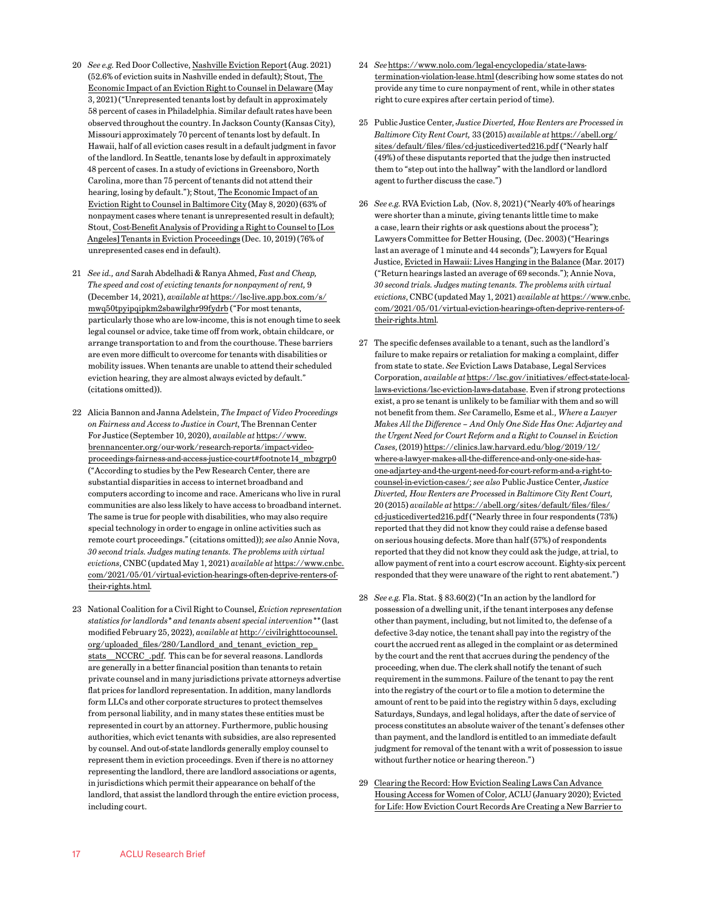- <span id="page-16-0"></span>[20](#page-1-0) *See e.g.* Red Door Collective, [Nashville Eviction Report](https://reddoorcollective.org/reports/RDC-Nashville-Eviction-Report-Aug-2021.pdf) (Aug. 2021) (52.6% of eviction suits in Nashville ended in default); Stout, [The](https://www.stout.com/-/media/pdf/evictions/report-cost-benefit-delaware-right-counsel-evictions-defense-5-5-2021.pdf)  [Economic Impact of an Eviction Right to Counsel in Delaware](https://www.stout.com/-/media/pdf/evictions/report-cost-benefit-delaware-right-counsel-evictions-defense-5-5-2021.pdf) (May 3, 2021) ("Unrepresented tenants lost by default in approximately 58 percent of cases in Philadelphia. Similar default rates have been observed throughout the country. In Jackson County (Kansas City), Missouri approximately 70 percent of tenants lost by default. In Hawaii, half of all eviction cases result in a default judgment in favor of the landlord. In Seattle, tenants lose by default in approximately 48 percent of cases. In a study of evictions in Greensboro, North Carolina, more than 75 percent of tenants did not attend their hearing, losing by default."); Stout, [The Economic Impact of an](https://cdn2.hubspot.net/hubfs/4408380/PDF/Eviction-Reports-Articles-Cities-States/baltimore-rtc-report-final-5-8-2020.pdf)  [Eviction Right to Counsel in Baltimore City](https://cdn2.hubspot.net/hubfs/4408380/PDF/Eviction-Reports-Articles-Cities-States/baltimore-rtc-report-final-5-8-2020.pdf) (May 8, 2020) (63% of nonpayment cases where tenant is unrepresented result in default); Stout, [Cost-Benefit Analysis of Providing a Right to Counsel to \[Los](https://info.stout.com/hubfs/PDF/Eviction-Reports-Articles-Cities-States/Los Angeles Eviction RTC Report_12-10-19.pdf)  [Angeles\] Tenants in Eviction Proceedings](https://info.stout.com/hubfs/PDF/Eviction-Reports-Articles-Cities-States/Los Angeles Eviction RTC Report_12-10-19.pdf) (Dec. 10, 2019) (76% of unrepresented cases end in default).
- [21](#page-1-0) *See id., and* Sarah Abdelhadi & Ranya Ahmed, *Fast and Cheap, The speed and cost of evicting tenants for nonpayment of rent,* 9 (December 14, 2021), *available at* [https://lsc-live.app.box.com/s/](https://lsc-live.app.box.com/s/mwq50tpyipqipkm2sbawilghr99fydrb) [mwq50tpyipqipkm2sbawilghr99fydrb](https://lsc-live.app.box.com/s/mwq50tpyipqipkm2sbawilghr99fydrb) ("For most tenants, particularly those who are low-income, this is not enough time to seek legal counsel or advice, take time off from work, obtain childcare, or arrange transportation to and from the courthouse. These barriers are even more difficult to overcome for tenants with disabilities or mobility issues. When tenants are unable to attend their scheduled eviction hearing, they are almost always evicted by default." (citations omitted)).
- [22](#page-1-0) Alicia Bannon and Janna Adelstein, *The Impact of Video Proceedings on Fairness and Access to Justice in Court*, The Brennan Center For Justice (September 10, 2020), *available at* [https://www.](https://www.brennancenter.org/our-work/research-reports/impact-video-proceedings-fairness-and-access-justice-court#footnote14_mbzgrp0) [brennancenter.org/our-work/research-reports/impact-video](https://www.brennancenter.org/our-work/research-reports/impact-video-proceedings-fairness-and-access-justice-court#footnote14_mbzgrp0)[proceedings-fairness-and-access-justice-court#footnote14\\_mbzgrp0](https://www.brennancenter.org/our-work/research-reports/impact-video-proceedings-fairness-and-access-justice-court#footnote14_mbzgrp0) ("According to studies by the Pew Research Center, there are substantial disparities in access to internet broadband and computers according to income and race. Americans who live in rural communities are also less likely to have access to broadband internet. The same is true for people with disabilities, who may also require special technology in order to engage in online activities such as remote court proceedings." (citations omitted)); *see also* Annie Nova, *30 second trials. Judges muting tenants. The problems with virtual evictions*, CNBC (updated May 1, 2021) *available at* [https://www.cnbc.](https://www.cnbc.com/2021/05/01/virtual-eviction-hearings-often-deprive-renters-of-their-rights.html) [com/2021/05/01/virtual-eviction-hearings-often-deprive-renters-of](https://www.cnbc.com/2021/05/01/virtual-eviction-hearings-often-deprive-renters-of-their-rights.html)[their-rights.html](https://www.cnbc.com/2021/05/01/virtual-eviction-hearings-often-deprive-renters-of-their-rights.html)*.*
- [23](#page-1-0) National Coalition for a Civil Right to Counsel, *Eviction representation statistics for landlords\* and tenants absent special intervention\*\** (last modified February 25, 2022), *available at* [http://civilrighttocounsel.](http://civilrighttocounsel.org/uploaded_files/280/Landlord_and_tenant_eviction_rep_stats__NCCRC_.pdf) [org/uploaded\\_files/280/Landlord\\_and\\_tenant\\_eviction\\_rep\\_](http://civilrighttocounsel.org/uploaded_files/280/Landlord_and_tenant_eviction_rep_stats__NCCRC_.pdf) [stats\\_\\_NCCRC\\_.pdf.](http://civilrighttocounsel.org/uploaded_files/280/Landlord_and_tenant_eviction_rep_stats__NCCRC_.pdf) This can be for several reasons. Landlords are generally in a better financial position than tenants to retain private counsel and in many jurisdictions private attorneys advertise flat prices for landlord representation. In addition, many landlords form LLCs and other corporate structures to protect themselves from personal liability, and in many states these entities must be represented in court by an attorney. Furthermore, public housing authorities, which evict tenants with subsidies, are also represented by counsel. And out-of-state landlords generally employ counsel to represent them in eviction proceedings. Even if there is no attorney representing the landlord, there are landlord associations or agents, in jurisdictions which permit their appearance on behalf of the landlord, that assist the landlord through the entire eviction process, including court.
- [24](#page-1-0) *See* [https://www.nolo.com/legal-encyclopedia/state-laws](https://www.nolo.com/legal-encyclopedia/state-laws-termination-violation-lease.html)[termination-violation-lease.html](https://www.nolo.com/legal-encyclopedia/state-laws-termination-violation-lease.html) (describing how some states do not provide any time to cure nonpayment of rent, while in other states right to cure expires after certain period of time).
- [25](#page-1-0) Public Justice Center, *Justice Diverted, How Renters are Processed in Baltimore City Rent Court,* 33 (2015) *available at* [https://abell.org/](https://abell.org/sites/default/files/files/cd-justicediverted216.pdf) [sites/default/files/files/cd-justicediverted216.pdf](https://abell.org/sites/default/files/files/cd-justicediverted216.pdf) ("Nearly half (49%) of these disputants reported that the judge then instructed them to "step out into the hallway" with the landlord or landlord agent to further discuss the case.")
- [26](#page-1-0) *See e.g.* RVA Eviction Lab, (Nov. 8, 2021) ("Nearly 40% of hearings were shorter than a minute, giving tenants little time to make a case, learn their rights or ask questions about the process"); Lawyers Committee for Better Housing, (Dec. 2003) ("Hearings last an average of 1 minute and 44 seconds"); Lawyers for Equal Justice, [Evicted in Hawaii: Lives Hanging in the Balance](https://www.hiequaljustice.org/reports/evicted-hawaii) (Mar. 2017) ("Return hearings lasted an average of 69 seconds."); Annie Nova, *30 second trials. Judges muting tenants. The problems with virtual evictions*, CNBC (updated May 1, 2021) *available at* [https://www.cnbc.](https://www.cnbc.com/2021/05/01/virtual-eviction-hearings-often-deprive-renters-of-their-rights.html) [com/2021/05/01/virtual-eviction-hearings-often-deprive-renters-of](https://www.cnbc.com/2021/05/01/virtual-eviction-hearings-often-deprive-renters-of-their-rights.html)[their-rights.html](https://www.cnbc.com/2021/05/01/virtual-eviction-hearings-often-deprive-renters-of-their-rights.html)*.*
- [27](#page-1-0) The specific defenses available to a tenant, such as the landlord's failure to make repairs or retaliation for making a complaint, differ from state to state. *See* Eviction Laws Database, Legal Services Corporation, *available at* [https://lsc.gov/initiatives/effect-state-local](https://lsc.gov/initiatives/effect-state-local-laws-evictions/lsc-eviction-laws-database)[laws-evictions/lsc-eviction-laws-database.](https://lsc.gov/initiatives/effect-state-local-laws-evictions/lsc-eviction-laws-database) Even if strong protections exist, a pro se tenant is unlikely to be familiar with them and so will not benefit from them. *See* Caramello, Esme et al., *Where a Lawyer Makes All the Difference – And Only One Side Has One: Adjartey and the Urgent Need for Court Reform and a Right to Counsel in Eviction Cases*, (2019) [https://clinics.law.harvard.edu/blog/2019/12/](https://clinics.law.harvard.edu/blog/2019/12/where-a-lawyer-makes-all-the-difference-and-only-one-side-has-one-adjartey-and-the-urgent-need-for-court-reform-and-a-right-to-counsel-in-eviction-cases/) [where-a-lawyer-makes-all-the-difference-and-only-one-side-has](https://clinics.law.harvard.edu/blog/2019/12/where-a-lawyer-makes-all-the-difference-and-only-one-side-has-one-adjartey-and-the-urgent-need-for-court-reform-and-a-right-to-counsel-in-eviction-cases/)[one-adjartey-and-the-urgent-need-for-court-reform-and-a-right-to](https://clinics.law.harvard.edu/blog/2019/12/where-a-lawyer-makes-all-the-difference-and-only-one-side-has-one-adjartey-and-the-urgent-need-for-court-reform-and-a-right-to-counsel-in-eviction-cases/)[counsel-in-eviction-cases/;](https://clinics.law.harvard.edu/blog/2019/12/where-a-lawyer-makes-all-the-difference-and-only-one-side-has-one-adjartey-and-the-urgent-need-for-court-reform-and-a-right-to-counsel-in-eviction-cases/) *see also* Public Justice Center, *Justice Diverted, How Renters are Processed in Baltimore City Rent Court,*  20 (2015) *available at* [https://abell.org/sites/default/files/files/](https://abell.org/sites/default/files/files/cd-justicediverted216.pdf) [cd-justicediverted216.pdf](https://abell.org/sites/default/files/files/cd-justicediverted216.pdf) ("Nearly three in four respondents (73%) reported that they did not know they could raise a defense based on serious housing defects. More than half (57%) of respondents reported that they did not know they could ask the judge, at trial, to allow payment of rent into a court escrow account. Eighty-six percent responded that they were unaware of the right to rent abatement.")
- [28](#page-1-0) *See e.g.* Fla. Stat. § 83.60(2) ("In an action by the landlord for possession of a dwelling unit, if the tenant interposes any defense other than payment, including, but not limited to, the defense of a defective 3-day notice, the tenant shall pay into the registry of the court the accrued rent as alleged in the complaint or as determined by the court and the rent that accrues during the pendency of the proceeding, when due. The clerk shall notify the tenant of such requirement in the summons. Failure of the tenant to pay the rent into the registry of the court or to file a motion to determine the amount of rent to be paid into the registry within 5 days, excluding Saturdays, Sundays, and legal holidays, after the date of service of process constitutes an absolute waiver of the tenant's defenses other than payment, and the landlord is entitled to an immediate default judgment for removal of the tenant with a writ of possession to issue without further notice or hearing thereon.")
- [29](#page-1-0) [Clearing the Record: How Eviction Sealing Laws Can Advance](https://www.aclu.org/news/racial-justice/clearing-the-record-how-eviction-sealing-laws-can-advance-housing-access-for-women-of-color/)  [Housing Access for Women of Color](https://www.aclu.org/news/racial-justice/clearing-the-record-how-eviction-sealing-laws-can-advance-housing-access-for-women-of-color/), ACLU (January 2020); [Evicted](https://www.passthehomesact.org/uploads/2/7/0/4/27042339/evicted_for_life_mlri.pdf)  [for Life: How Eviction Court Records Are Creating a New Barrier to](https://www.passthehomesact.org/uploads/2/7/0/4/27042339/evicted_for_life_mlri.pdf)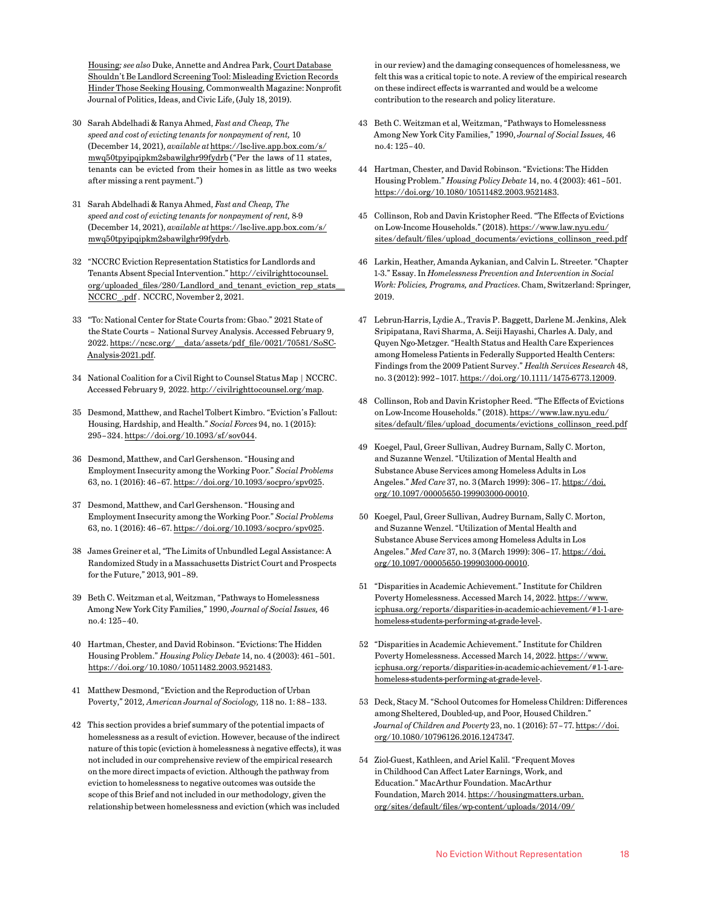<span id="page-17-0"></span>[Housing](https://www.passthehomesact.org/uploads/2/7/0/4/27042339/evicted_for_life_mlri.pdf)*; see also* Duke, Annette and Andrea Park, [Court Database](https://commonwealthmagazine.org/opinion/court-database-shouldnt-be-landlord-screening-tool/)  [Shouldn't Be Landlord Screening Tool: Misleading Eviction Records](https://commonwealthmagazine.org/opinion/court-database-shouldnt-be-landlord-screening-tool/)  [Hinder Those Seeking Housing,](https://commonwealthmagazine.org/opinion/court-database-shouldnt-be-landlord-screening-tool/) Commonwealth Magazine: Nonprofit Journal of Politics, Ideas, and Civic Life, (July 18, 2019).

- [30](#page-1-0) Sarah Abdelhadi & Ranya Ahmed, *Fast and Cheap, The speed and cost of evicting tenants for nonpayment of rent,* 10 (December 14, 2021), *available at* [https://lsc-live.app.box.com/s/](https://lsc-live.app.box.com/s/mwq50tpyipqipkm2sbawilghr99fydrb) [mwq50tpyipqipkm2sbawilghr99fydrb](https://lsc-live.app.box.com/s/mwq50tpyipqipkm2sbawilghr99fydrb) ("Per the laws of 11 states, tenants can be evicted from their homes in as little as two weeks after missing a rent payment.")
- [31](#page-1-0) Sarah Abdelhadi & Ranya Ahmed, *Fast and Cheap, The speed and cost of evicting tenants for nonpayment of rent,* 8-9 (December 14, 2021), *available at* [https://lsc-live.app.box.com/s/](https://lsc-live.app.box.com/s/mwq50tpyipqipkm2sbawilghr99fydrb) [mwq50tpyipqipkm2sbawilghr99fydrb](https://lsc-live.app.box.com/s/mwq50tpyipqipkm2sbawilghr99fydrb)*.*
- [32](#page-2-0) "NCCRC Eviction Representation Statistics for Landlords and Tenants Absent Special Intervention." [http://civilrighttocounsel.](http://civilrighttocounsel.org/uploaded_files/280/Landlord_and_tenant_eviction_rep_stats__NCCRC_.pdf) [org/uploaded\\_files/280/Landlord\\_and\\_tenant\\_eviction\\_rep\\_stats\\_\\_](http://civilrighttocounsel.org/uploaded_files/280/Landlord_and_tenant_eviction_rep_stats__NCCRC_.pdf) [NCCRC\\_.pdf](http://civilrighttocounsel.org/uploaded_files/280/Landlord_and_tenant_eviction_rep_stats__NCCRC_.pdf). NCCRC, November 2, 2021.
- [33](#page-2-0) "To: National Center for State Courts from: Gbao." 2021 State of the State Courts – National Survey Analysis. Accessed February 9, 2022. [https://ncsc.org/\\_\\_data/assets/pdf\\_file/0021/70581/SoSC-](https://ncsc.org/__data/assets/pdf_file/0021/70581/SoSC-Analysis-2021.pdf)[Analysis-2021.pdf.](https://ncsc.org/__data/assets/pdf_file/0021/70581/SoSC-Analysis-2021.pdf)
- [34](#page-2-0) National Coalition for a Civil Right to Counsel Status Map | NCCRC. Accessed February 9, 2022. [http://civilrighttocounsel.org/map.](http://civilrighttocounsel.org/map)
- [35](#page-2-0) Desmond, Matthew, and Rachel Tolbert Kimbro. "Eviction's Fallout: Housing, Hardship, and Health." *Social Forces* 94, no. 1 (2015): 295–324. <https://doi.org/10.1093/sf/sov044>.
- [36](#page-2-0) Desmond, Matthew, and Carl Gershenson. "Housing and Employment Insecurity among the Working Poor." *Social Problems* 63, no. 1 (2016): 46–67. <https://doi.org/10.1093/socpro/spv025>.
- [37](#page-2-0) Desmond, Matthew, and Carl Gershenson. "Housing and Employment Insecurity among the Working Poor." *Social Problems* 63, no. 1 (2016): 46–67. <https://doi.org/10.1093/socpro/spv025>.
- [38](#page-2-0) James Greiner et al, "The Limits of Unbundled Legal Assistance: A Randomized Study in a Massachusetts District Court and Prospects for the Future," 2013, 901–89.
- [39](#page-3-0) Beth C. Weitzman et al, Weitzman, "Pathways to Homelessness Among New York City Families," 1990, *Journal of Social Issues,* 46 no.4: 125–40.
- [40](#page-3-0) Hartman, Chester, and David Robinson. "Evictions: The Hidden Housing Problem." *Housing Policy Debate* 14, no. 4 (2003): 461–501. [https://doi.org/10.1080/10511482.2003.9521483.](https://doi.org/10.1080/10511482.2003.9521483)
- [41](#page-3-0) Matthew Desmond, "Eviction and the Reproduction of Urban Poverty," 2012, *American Journal of Sociology,* 118 no. 1: 88–133.
- [42](#page-3-0) This section provides a brief summary of the potential impacts of homelessness as a result of eviction. However, because of the indirect nature of this topic (eviction à homelessness à negative effects), it was not included in our comprehensive review of the empirical research on the more direct impacts of eviction. Although the pathway from eviction to homelessness to negative outcomes was outside the scope of this Brief and not included in our methodology, given the relationship between homelessness and eviction (which was included

in our review) and the damaging consequences of homelessness, we felt this was a critical topic to note. A review of the empirical research on these indirect effects is warranted and would be a welcome contribution to the research and policy literature.

- [43](#page-3-0) Beth C. Weitzman et al, Weitzman, "Pathways to Homelessness Among New York City Families," 1990, *Journal of Social Issues,* 46 no.4: 125–40.
- [44](#page-3-0) Hartman, Chester, and David Robinson. "Evictions: The Hidden Housing Problem." *Housing Policy Debate* 14, no. 4 (2003): 461–501. [https://doi.org/10.1080/10511482.2003.9521483.](https://doi.org/10.1080/10511482.2003.9521483)
- [45](#page-3-0) Collinson, Rob and Davin Kristopher Reed. "The Effects of Evictions on Low-Income Households." (2018). [https://www.law.nyu.edu/](https://www.law.nyu.edu/sites/default/files/upload_documents/evictions_collinson_reed.pdf) [sites/default/files/upload\\_documents/evictions\\_collinson\\_reed.pdf](https://www.law.nyu.edu/sites/default/files/upload_documents/evictions_collinson_reed.pdf)
- [46](#page-3-0) Larkin, Heather, Amanda Aykanian, and Calvin L. Streeter. "Chapter 1-3." Essay. In *Homelessness Prevention and Intervention in Social Work: Policies, Programs, and Practices*. Cham, Switzerland: Springer, 2019.
- [47](#page-3-0) Lebrun-Harris, Lydie A., Travis P. Baggett, Darlene M. Jenkins, Alek Sripipatana, Ravi Sharma, A. Seiji Hayashi, Charles A. Daly, and Quyen Ngo-Metzger. "Health Status and Health Care Experiences among Homeless Patients in Federally Supported Health Centers: Findings from the 2009 Patient Survey." *Health Services Research* 48, no. 3 (2012): 992–1017. [https://doi.org/10.1111/1475-6773.12009.](https://doi.org/10.1111/1475-6773.12009)
- [48](#page-3-0) Collinson, Rob and Davin Kristopher Reed. "The Effects of Evictions on Low-Income Households." (2018). [https://www.law.nyu.edu/](https://www.law.nyu.edu/sites/default/files/upload_documents/evictions_collinson_reed.pdf) [sites/default/files/upload\\_documents/evictions\\_collinson\\_reed.pdf](https://www.law.nyu.edu/sites/default/files/upload_documents/evictions_collinson_reed.pdf)
- [49](#page-3-0) Koegel, Paul, Greer Sullivan, Audrey Burnam, Sally C. Morton, and Suzanne Wenzel. "Utilization of Mental Health and Substance Abuse Services among Homeless Adults in Los Angeles." *Med Care* 37, no. 3 (March 1999): 306–17. [https://doi.](https://doi.org/10.1097/00005650-199903000-00010) [org/10.1097/00005650-199903000-00010](https://doi.org/10.1097/00005650-199903000-00010).
- [50](#page-3-0) Koegel, Paul, Greer Sullivan, Audrey Burnam, Sally C. Morton, and Suzanne Wenzel. "Utilization of Mental Health and Substance Abuse Services among Homeless Adults in Los Angeles." *Med Care* 37, no. 3 (March 1999): 306–17. [https://doi.](https://doi.org/10.1097/00005650-199903000-00010) [org/10.1097/00005650-199903000-00010](https://doi.org/10.1097/00005650-199903000-00010).
- [51](#page-3-0) "Disparities in Academic Achievement." Institute for Children Poverty Homelessness. Accessed March 14, 2022. [https://www.](https://www.icphusa.org/reports/disparities-in-academic-achievement/#1-1-are-homeless-students-performing-at-grade-level-) [icphusa.org/reports/disparities-in-academic-achievement/#1-1-are](https://www.icphusa.org/reports/disparities-in-academic-achievement/#1-1-are-homeless-students-performing-at-grade-level-)[homeless-students-performing-at-grade-level-](https://www.icphusa.org/reports/disparities-in-academic-achievement/#1-1-are-homeless-students-performing-at-grade-level-).
- [52](#page-3-0) "Disparities in Academic Achievement." Institute for Children Poverty Homelessness. Accessed March 14, 2022. [https://www.](https://www.icphusa.org/reports/disparities-in-academic-achievement/#1-1-are-homeless-students-performing-at-grade-level-) [icphusa.org/reports/disparities-in-academic-achievement/#1-1-are](https://www.icphusa.org/reports/disparities-in-academic-achievement/#1-1-are-homeless-students-performing-at-grade-level-)[homeless-students-performing-at-grade-level-](https://www.icphusa.org/reports/disparities-in-academic-achievement/#1-1-are-homeless-students-performing-at-grade-level-).
- [53](#page-3-0) Deck, Stacy M. "School Outcomes for Homeless Children: Differences among Sheltered, Doubled-up, and Poor, Housed Children." *Journal of Children and Poverty* 23, no. 1 (2016): 57–77. [https://doi.](https://doi.org/10.1080/10796126.2016.1247347) [org/10.1080/10796126.2016.1247347.](https://doi.org/10.1080/10796126.2016.1247347)
- [54](#page-4-0) Ziol-Guest, Kathleen, and Ariel Kalil. "Frequent Moves in Childhood Can Affect Later Earnings, Work, and Education." MacArthur Foundation. MacArthur Foundation, March 2014. [https://housingmatters.urban.](https://housingmatters.urban.org/sites/default/files/wp-content/uploads/2014/09/How-Housing-Matters-Policy-Research-Brief-Frequent-Moves-in-Childhood-Can-Affect-Later-Earnings-Work-and-Education.pdf.) [org/sites/default/files/wp-content/uploads/2014/09/](https://housingmatters.urban.org/sites/default/files/wp-content/uploads/2014/09/How-Housing-Matters-Policy-Research-Brief-Frequent-Moves-in-Childhood-Can-Affect-Later-Earnings-Work-and-Education.pdf.)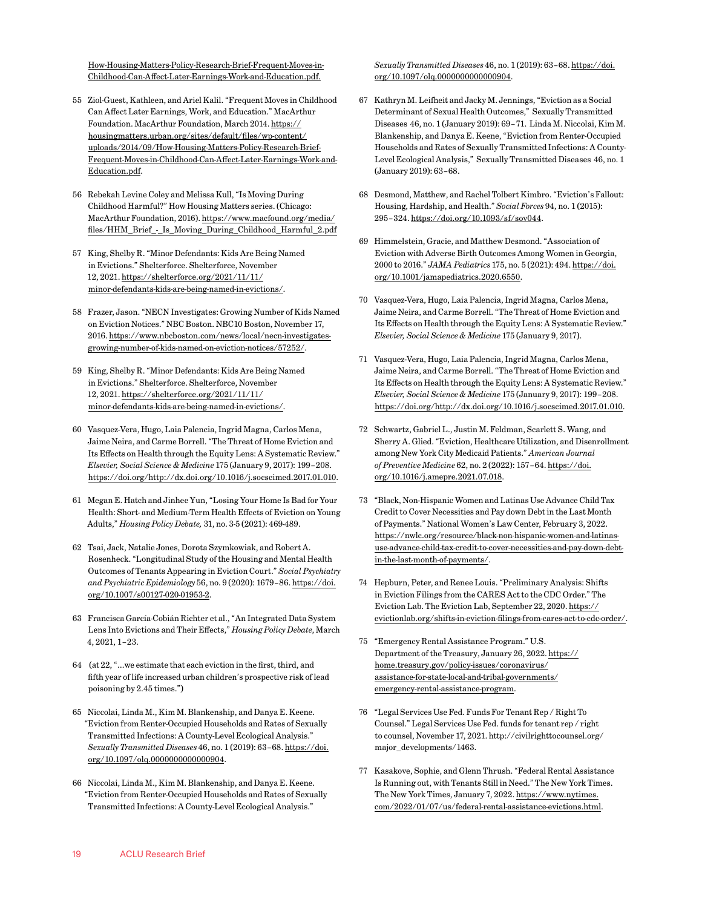<span id="page-18-0"></span>[How-Housing-Matters-Policy-Research-Brief-Frequent-Moves-in-](https://housingmatters.urban.org/sites/default/files/wp-content/uploads/2014/09/How-Housing-Matters-Policy-Research-Brief-Frequent-Moves-in-Childhood-Can-Affect-Later-Earnings-Work-and-Education.pdf.)[Childhood-Can-Affect-Later-Earnings-Work-and-Education.pdf.](https://housingmatters.urban.org/sites/default/files/wp-content/uploads/2014/09/How-Housing-Matters-Policy-Research-Brief-Frequent-Moves-in-Childhood-Can-Affect-Later-Earnings-Work-and-Education.pdf.)

- [55](#page-4-0) Ziol-Guest, Kathleen, and Ariel Kalil. "Frequent Moves in Childhood Can Affect Later Earnings, Work, and Education." MacArthur Foundation. MacArthur Foundation, March 2014. [https://](https://housingmatters.urban.org/sites/default/files/wp-content/uploads/2014/09/How-Housing-Matters-Policy-Research-Brief-Frequent-Moves-in-Childhood-Can-Affect-Later-Earnings-Work-and-Education.pdf.) [housingmatters.urban.org/sites/default/files/wp-content/](https://housingmatters.urban.org/sites/default/files/wp-content/uploads/2014/09/How-Housing-Matters-Policy-Research-Brief-Frequent-Moves-in-Childhood-Can-Affect-Later-Earnings-Work-and-Education.pdf.) [uploads/2014/09/How-Housing-Matters-Policy-Research-Brief-](https://housingmatters.urban.org/sites/default/files/wp-content/uploads/2014/09/How-Housing-Matters-Policy-Research-Brief-Frequent-Moves-in-Childhood-Can-Affect-Later-Earnings-Work-and-Education.pdf.)[Frequent-Moves-in-Childhood-Can-Affect-Later-Earnings-Work-and-](https://housingmatters.urban.org/sites/default/files/wp-content/uploads/2014/09/How-Housing-Matters-Policy-Research-Brief-Frequent-Moves-in-Childhood-Can-Affect-Later-Earnings-Work-and-Education.pdf.)[Education.pdf.](https://housingmatters.urban.org/sites/default/files/wp-content/uploads/2014/09/How-Housing-Matters-Policy-Research-Brief-Frequent-Moves-in-Childhood-Can-Affect-Later-Earnings-Work-and-Education.pdf.)
- [56](#page-4-0) Rebekah Levine Coley and Melissa Kull, "Is Moving During Childhood Harmful?" How Housing Matters series. (Chicago: MacArthur Foundation, 2016). [https://www.macfound.org/media/](https://www.macfound.org/media/files/HHM_Brief_-_Is_Moving_During_Childhood_Harmful_2.pdf) [files/HHM\\_Brief\\_-\\_Is\\_Moving\\_During\\_Childhood\\_Harmful\\_2.pdf](https://www.macfound.org/media/files/HHM_Brief_-_Is_Moving_During_Childhood_Harmful_2.pdf)
- [57](#page-4-0) King, Shelby R. "Minor Defendants: Kids Are Being Named in Evictions." Shelterforce. Shelterforce, November 12, 2021. [https://shelterforce.org/2021/11/11/](https://shelterforce.org/2021/11/11/minor-defendants-kids-are-being-named-in-evictions/) [minor-defendants-kids-are-being-named-in-evictions/.](https://shelterforce.org/2021/11/11/minor-defendants-kids-are-being-named-in-evictions/)
- [58](#page-4-0) Frazer, Jason. "NECN Investigates: Growing Number of Kids Named on Eviction Notices." NBC Boston. NBC10 Boston, November 17, 2016. [https://www.nbcboston.com/news/local/necn-investigates](https://www.nbcboston.com/news/local/necn-investigates-growing-number-of-kids-named-on-eviction-notices/57252/)[growing-number-of-kids-named-on-eviction-notices/57252/.](https://www.nbcboston.com/news/local/necn-investigates-growing-number-of-kids-named-on-eviction-notices/57252/)
- [59](#page-4-0) King, Shelby R. "Minor Defendants: Kids Are Being Named in Evictions." Shelterforce. Shelterforce, November 12, 2021. [https://shelterforce.org/2021/11/11/](https://shelterforce.org/2021/11/11/minor-defendants-kids-are-being-named-in-evictions/) [minor-defendants-kids-are-being-named-in-evictions/.](https://shelterforce.org/2021/11/11/minor-defendants-kids-are-being-named-in-evictions/)
- [60](#page-4-0) Vasquez-Vera, Hugo, Laia Palencia, Ingrid Magna, Carlos Mena, Jaime Neira, and Carme Borrell. "The Threat of Home Eviction and Its Effects on Health through the Equity Lens: A Systematic Review." *Elsevier, Social Science & Medicine* 175 (January 9, 2017): 199–208. <https://doi.org/http://dx.doi.org/10.1016/j.socscimed.2017.01.010>.
- [61](#page-4-0) [Megan E. Hatch and Jinhee Yun, "Losing Your Home Is Bad for Your](https://www.zotero.org/google-docs/?tuQaeo)  [Health: Short- and Medium-Term Health Effects of Eviction on Young](https://www.zotero.org/google-docs/?tuQaeo)  [Adults,"](https://www.zotero.org/google-docs/?tuQaeo) *[Housing Policy Debate](https://www.zotero.org/google-docs/?tuQaeo),* 31, no. 3-5 (2021): 469-489.
- [62](#page-4-0) Tsai, Jack, Natalie Jones, Dorota Szymkowiak, and Robert A. Rosenheck. "Longitudinal Study of the Housing and Mental Health Outcomes of Tenants Appearing in Eviction Court." *Social Psychiatry and Psychiatric Epidemiology* 56, no. 9 (2020): 1679–86. [https://doi.](https://doi.org/10.1007/s00127-020-01953-2) [org/10.1007/s00127-020-01953-2.](https://doi.org/10.1007/s00127-020-01953-2)
- [63](#page-4-0) [Francisca García-Cobián Richter et al., "An Integrated Data System](https://www.zotero.org/google-docs/?lqqxfT)  [Lens Into Evictions and Their Effects,"](https://www.zotero.org/google-docs/?lqqxfT) *[Housing Policy Debate](https://www.zotero.org/google-docs/?lqqxfT)*[, March](https://www.zotero.org/google-docs/?lqqxfT)  [4, 2021, 1–23.](https://www.zotero.org/google-docs/?lqqxfT)
- [64](#page-4-0) (at 22, "…we estimate that each eviction in the first, third, and fifth year of life increased urban children's prospective risk of lead poisoning by 2.45 times.")
- [65](#page-5-0) Niccolai, Linda M., Kim M. Blankenship, and Danya E. Keene. "Eviction from Renter-Occupied Households and Rates of Sexually Transmitted Infections: A County-Level Ecological Analysis." *Sexually Transmitted Diseases* 46, no. 1 (2019): 63–68. [https://doi.](https://doi.org/10.1097/olq.0000000000000904) [org/10.1097/olq.0000000000000904.](https://doi.org/10.1097/olq.0000000000000904)
- [66](#page-5-0) Niccolai, Linda M., Kim M. Blankenship, and Danya E. Keene. "Eviction from Renter-Occupied Households and Rates of Sexually Transmitted Infections: A County-Level Ecological Analysis."

*Sexually Transmitted Diseases* 46, no. 1 (2019): 63–68. [https://doi.](https://doi.org/10.1097/olq.0000000000000904) [org/10.1097/olq.0000000000000904.](https://doi.org/10.1097/olq.0000000000000904)

- [67](#page-5-0) [Kathryn M. Leifheit and Jacky M. Jennings, "Eviction as a Social](https://www.zotero.org/google-docs/?cWtXL0)  [Determinant of Sexual Health Outcomes," Sexually Transmitted](https://www.zotero.org/google-docs/?cWtXL0)  [Diseases 46, no. 1 \(January 2019\): 69–71.](https://www.zotero.org/google-docs/?cWtXL0) [Linda M. Niccolai, Kim M.](https://www.zotero.org/google-docs/?FW4cAf)  [Blankenship, and Danya E. Keene, "Eviction from Renter-Occupied](https://www.zotero.org/google-docs/?FW4cAf)  [Households and Rates of Sexually Transmitted Infections: A County-](https://www.zotero.org/google-docs/?FW4cAf)[Level Ecological Analysis," Sexually Transmitted Diseases 46, no. 1](https://www.zotero.org/google-docs/?FW4cAf)  [\(January 2019\): 63–68](https://www.zotero.org/google-docs/?FW4cAf).
- [68](#page-5-0) Desmond, Matthew, and Rachel Tolbert Kimbro. "Eviction's Fallout: Housing, Hardship, and Health." *Social Forces* 94, no. 1 (2015): 295–324. <https://doi.org/10.1093/sf/sov044>.
- [69](#page-5-0) Himmelstein, Gracie, and Matthew Desmond. "Association of Eviction with Adverse Birth Outcomes Among Women in Georgia, 2000 to 2016." *JAMA Pediatrics* 175, no. 5 (2021): 494. [https://doi.](https://doi.org/10.1001/jamapediatrics.2020.6550) [org/10.1001/jamapediatrics.2020.6550.](https://doi.org/10.1001/jamapediatrics.2020.6550)
- [70](#page-5-0) Vasquez-Vera, Hugo, Laia Palencia, Ingrid Magna, Carlos Mena, Jaime Neira, and Carme Borrell. "The Threat of Home Eviction and Its Effects on Health through the Equity Lens: A Systematic Review." *Elsevier, Social Science & Medicine* 175 (January 9, 2017).
- [71](#page-5-0) Vasquez-Vera, Hugo, Laia Palencia, Ingrid Magna, Carlos Mena, Jaime Neira, and Carme Borrell. "The Threat of Home Eviction and Its Effects on Health through the Equity Lens: A Systematic Review." *Elsevier, Social Science & Medicine* 175 (January 9, 2017): 199–208. <https://doi.org/http://dx.doi.org/10.1016/j.socscimed.2017.01.010>.
- [72](#page-5-0) Schwartz, Gabriel L., Justin M. Feldman, Scarlett S. Wang, and Sherry A. Glied. "Eviction, Healthcare Utilization, and Disenrollment among New York City Medicaid Patients." *American Journal of Preventive Medicine* 62, no. 2 (2022): 157–64. [https://doi.](https://doi.org/10.1016/j.amepre.2021.07.018) [org/10.1016/j.amepre.2021.07.018.](https://doi.org/10.1016/j.amepre.2021.07.018)
- [73](#page-5-0) "Black, Non-Hispanic Women and Latinas Use Advance Child Tax Credit to Cover Necessities and Pay down Debt in the Last Month of Payments." National Women's Law Center, February 3, 2022. [https://nwlc.org/resource/black-non-hispanic-women-and-latinas](https://nwlc.org/resource/black-non-hispanic-women-and-latinas-use-advance-child-tax-credit-to-cover-necessities-and-pay-down-debt-in-the-last-month-of-payments/)[use-advance-child-tax-credit-to-cover-necessities-and-pay-down-debt](https://nwlc.org/resource/black-non-hispanic-women-and-latinas-use-advance-child-tax-credit-to-cover-necessities-and-pay-down-debt-in-the-last-month-of-payments/)[in-the-last-month-of-payments/](https://nwlc.org/resource/black-non-hispanic-women-and-latinas-use-advance-child-tax-credit-to-cover-necessities-and-pay-down-debt-in-the-last-month-of-payments/).
- [74](#page-5-0) Hepburn, Peter, and Renee Louis. "Preliminary Analysis: Shifts in Eviction Filings from the CARES Act to the CDC Order." The Eviction Lab. The Eviction Lab, September 22, 2020. [https://](https://evictionlab.org/shifts-in-eviction-filings-from-cares-act-to-cdc-order/) [evictionlab.org/shifts-in-eviction-filings-from-cares-act-to-cdc-order/.](https://evictionlab.org/shifts-in-eviction-filings-from-cares-act-to-cdc-order/)
- [75](#page-5-0) "Emergency Rental Assistance Program." U.S. Department of the Treasury, January 26, 2022. [https://](https://home.treasury.gov/policy-issues/coronavirus/assistance-for-state-local-and-tribal-governments/emergency-rental-assistance-program) [home.treasury.gov/policy-issues/coronavirus/](https://home.treasury.gov/policy-issues/coronavirus/assistance-for-state-local-and-tribal-governments/emergency-rental-assistance-program) [assistance-for-state-local-and-tribal-governments/](https://home.treasury.gov/policy-issues/coronavirus/assistance-for-state-local-and-tribal-governments/emergency-rental-assistance-program) [emergency-rental-assistance-program](https://home.treasury.gov/policy-issues/coronavirus/assistance-for-state-local-and-tribal-governments/emergency-rental-assistance-program).
- [76](#page-5-0) "Legal Services Use Fed. Funds For Tenant Rep / Right To Counsel." Legal Services Use Fed. funds for tenant rep / right to counsel, November 17, 2021. http://civilrighttocounsel.org/ major\_developments/1463.
- [77](#page-5-0) Kasakove, Sophie, and Glenn Thrush. "Federal Rental Assistance Is Running out, with Tenants Still in Need." The New York Times. The New York Times, January 7, 2022. [https://www.nytimes.](https://www.nytimes.com/2022/01/07/us/federal-rental-assistance-evictions.html) [com/2022/01/07/us/federal-rental-assistance-evictions.html](https://www.nytimes.com/2022/01/07/us/federal-rental-assistance-evictions.html).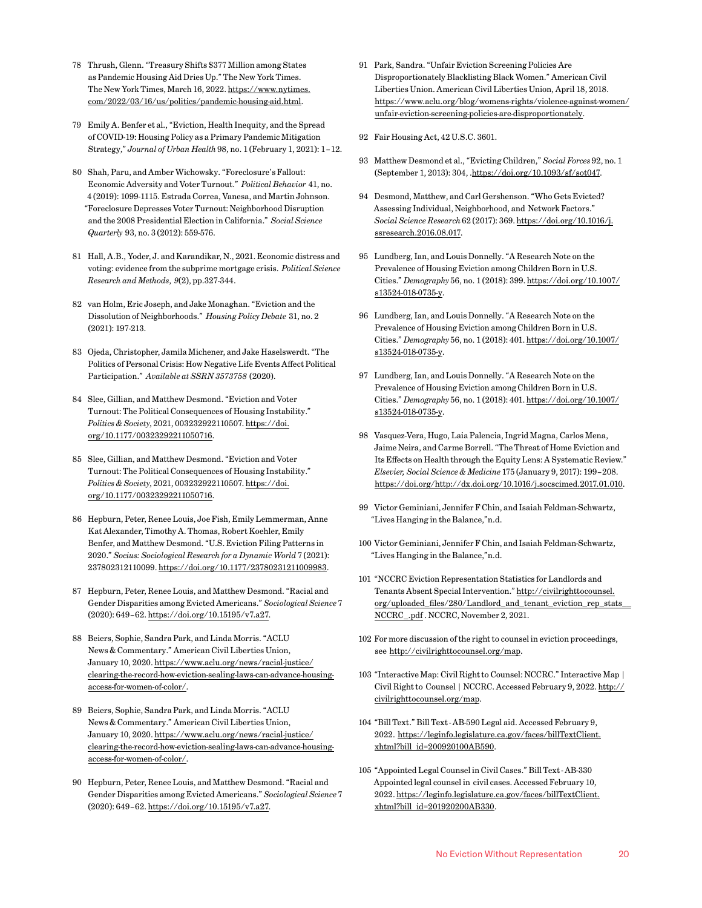- <span id="page-19-0"></span>[78](#page-5-0) Thrush, Glenn. "Treasury Shifts \$377 Million among States as Pandemic Housing Aid Dries Up." The New York Times. The New York Times, March 16, 2022. [https://www.nytimes.](https://www.nytimes.com/2022/03/16/us/politics/pandemic-housing-aid.html) [com/2022/03/16/us/politics/pandemic-housing-aid.html.](https://www.nytimes.com/2022/03/16/us/politics/pandemic-housing-aid.html)
- [79](#page-5-0) [Emily A. Benfer et al., "Eviction, Health Inequity, and the Spread](https://www.zotero.org/google-docs/?wcD8bs)  [of COVID-19: Housing Policy as a Primary Pandemic Mitigation](https://www.zotero.org/google-docs/?wcD8bs)  [Strategy,"](https://www.zotero.org/google-docs/?wcD8bs) *[Journal of Urban Health](https://www.zotero.org/google-docs/?wcD8bs)* [98, no. 1 \(February 1, 2021\): 1–12.](https://www.zotero.org/google-docs/?wcD8bs)
- [80](#page-6-0) Shah, Paru, and Amber Wichowsky. "Foreclosure's Fallout: Economic Adversity and Voter Turnout." *Political Behavior* 41, no. 4 (2019): 1099-1115. Estrada Correa, Vanesa, and Martin Johnson. "Foreclosure Depresses Voter Turnout: Neighborhood Disruption and the 2008 Presidential Election in California." *Social Science Quarterly* 93, no. 3 (2012): 559-576.
- [81](#page-6-0) Hall, A.B., Yoder, J. and Karandikar, N., 2021. Economic distress and voting: evidence from the subprime mortgage crisis. *Political Science Research and Methods*, *9*(2), pp.327-344.
- [82](#page-6-0) van Holm, Eric Joseph, and Jake Monaghan. "Eviction and the Dissolution of Neighborhoods." *Housing Policy Debate* 31, no. 2 (2021): 197-213.
- [83](#page-6-0) Ojeda, Christopher, Jamila Michener, and Jake Haselswerdt. "The Politics of Personal Crisis: How Negative Life Events Affect Political Participation." *Available at SSRN 3573758* (2020).
- [84](#page-6-0) Slee, Gillian, and Matthew Desmond. "Eviction and Voter Turnout: The Political Consequences of Housing Instability." *Politics & Society*, 2021, 003232922110507. [https://doi.](https://doi.org/10.1177/00323292211050716) [org/10.1177/00323292211050716](https://doi.org/10.1177/00323292211050716).
- [85](#page-6-0) Slee, Gillian, and Matthew Desmond. "Eviction and Voter Turnout: The Political Consequences of Housing Instability." *Politics & Society*, 2021, 003232922110507. [https://doi.](https://doi.org/10.1177/00323292211050716) [org/10.1177/00323292211050716](https://doi.org/10.1177/00323292211050716).
- [86](#page-6-0) Hepburn, Peter, Renee Louis, Joe Fish, Emily Lemmerman, Anne Kat Alexander, Timothy A. Thomas, Robert Koehler, Emily Benfer, and Matthew Desmond. "U.S. Eviction Filing Patterns in 2020." *Socius: Sociological Research for a Dynamic World* 7 (2021): 237802312110099.<https://doi.org/10.1177/23780231211009983>.
- [87](#page-6-0) Hepburn, Peter, Renee Louis, and Matthew Desmond. "Racial and Gender Disparities among Evicted Americans." *Sociological Science* 7 (2020): 649–62.<https://doi.org/10.15195/v7.a27>.
- [88](#page-6-0) Beiers, Sophie, Sandra Park, and Linda Morris. "ACLU News & Commentary." American Civil Liberties Union, January 10, 2020. [https://www.aclu.org/news/racial-justice/](https://www.aclu.org/news/racial-justice/clearing-the-record-how-eviction-sealing-laws-can-advance-housing-access-for-women-of-color/) [clearing-the-record-how-eviction-sealing-laws-can-advance-housing](https://www.aclu.org/news/racial-justice/clearing-the-record-how-eviction-sealing-laws-can-advance-housing-access-for-women-of-color/)[access-for-women-of-color/](https://www.aclu.org/news/racial-justice/clearing-the-record-how-eviction-sealing-laws-can-advance-housing-access-for-women-of-color/).
- [89](#page-6-0) Beiers, Sophie, Sandra Park, and Linda Morris. "ACLU News & Commentary." American Civil Liberties Union, January 10, 2020. [https://www.aclu.org/news/racial-justice/](https://www.aclu.org/news/racial-justice/clearing-the-record-how-eviction-sealing-laws-can-advance-housing-access-for-women-of-color/) [clearing-the-record-how-eviction-sealing-laws-can-advance-housing](https://www.aclu.org/news/racial-justice/clearing-the-record-how-eviction-sealing-laws-can-advance-housing-access-for-women-of-color/)[access-for-women-of-color/](https://www.aclu.org/news/racial-justice/clearing-the-record-how-eviction-sealing-laws-can-advance-housing-access-for-women-of-color/).
- [90](#page-6-0) Hepburn, Peter, Renee Louis, and Matthew Desmond. "Racial and Gender Disparities among Evicted Americans." *Sociological Science* 7 (2020): 649–62.<https://doi.org/10.15195/v7.a27>.
- [91](#page-6-0) Park, Sandra. "Unfair Eviction Screening Policies Are Disproportionately Blacklisting Black Women." American Civil Liberties Union. American Civil Liberties Union, April 18, 2018. [https://www.aclu.org/blog/womens-rights/violence-against-women/](https://www.aclu.org/blog/womens-rights/violence-against-women/unfair-eviction-screening-policies-are-disproportionately) [unfair-eviction-screening-policies-are-disproportionately](https://www.aclu.org/blog/womens-rights/violence-against-women/unfair-eviction-screening-policies-are-disproportionately).
- [92](#page-6-0) Fair Housing Act, 42 U.S.C. 3601.
- [93](#page-6-0) Matthew Desmond et al., "Evicting Children," *Social Forces* 92, no. 1 (September 1, 2013): 304, .<https://doi.org/10.1093/sf/sot047>.
- [94](#page-6-0) Desmond, Matthew, and Carl Gershenson. "Who Gets Evicted? Assessing Individual, Neighborhood, and Network Factors." *Social Science Research* 62 (2017): 369. [https://doi.org/10.1016/j.](https://doi.org/10.1016/j.ssresearch.2016.08.017) [ssresearch.2016.08.017.](https://doi.org/10.1016/j.ssresearch.2016.08.017)
- [95](#page-6-0) Lundberg, Ian, and Louis Donnelly. "A Research Note on the Prevalence of Housing Eviction among Children Born in U.S. Cities." *Demography* 56, no. 1 (2018): 399. [https://doi.org/10.1007/](https://doi.org/10.1007/s13524-018-0735-y) [s13524-018-0735-y.](https://doi.org/10.1007/s13524-018-0735-y)
- [96](#page-6-0) Lundberg, Ian, and Louis Donnelly. "A Research Note on the Prevalence of Housing Eviction among Children Born in U.S. Cities." *Demography* 56, no. 1 (2018): 401. [https://doi.org/10.1007/](https://doi.org/10.1007/s13524-018-0735-y) [s13524-018-0735-y.](https://doi.org/10.1007/s13524-018-0735-y)
- [97](#page-6-0) Lundberg, Ian, and Louis Donnelly. "A Research Note on the Prevalence of Housing Eviction among Children Born in U.S. Cities." *Demography* 56, no. 1 (2018): 401. [https://doi.org/10.1007/](https://doi.org/10.1007/s13524-018-0735-y) [s13524-018-0735-y.](https://doi.org/10.1007/s13524-018-0735-y)
- [98](#page-6-0) Vasquez-Vera, Hugo, Laia Palencia, Ingrid Magna, Carlos Mena, Jaime Neira, and Carme Borrell. "The Threat of Home Eviction and Its Effects on Health through the Equity Lens: A Systematic Review." *Elsevier, Social Science & Medicine* 175 (January 9, 2017): 199–208. <https://doi.org/http://dx.doi.org/10.1016/j.socscimed.2017.01.010>.
- [99](#page-6-0) [Victor Geminiani, Jennifer F Chin, and Isaiah Feldman-Schwartz,](https://www.zotero.org/google-docs/?iYfLvs)  ["Lives Hanging in the Balance,"n](https://www.zotero.org/google-docs/?iYfLvs).d.
- [100](#page-6-0) [Victor Geminiani, Jennifer F Chin, and Isaiah Feldman-Schwartz,](https://www.zotero.org/google-docs/?iYfLvs)  ["Lives Hanging in the Balance,"n](https://www.zotero.org/google-docs/?iYfLvs).d.
- [101](#page-7-0) "NCCRC Eviction Representation Statistics for Landlords and Tenants Absent Special Intervention." [http://civilrighttocounsel.](http://civilrighttocounsel.org/uploaded_files/280/Landlord_and_tenant_eviction_rep_stats__NCCRC_.pdf) [org/uploaded\\_files/280/Landlord\\_and\\_tenant\\_eviction\\_rep\\_stats\\_\\_](http://civilrighttocounsel.org/uploaded_files/280/Landlord_and_tenant_eviction_rep_stats__NCCRC_.pdf) [NCCRC\\_.pdf](http://civilrighttocounsel.org/uploaded_files/280/Landlord_and_tenant_eviction_rep_stats__NCCRC_.pdf) . NCCRC, November 2, 2021.
- [102](#page-7-0) For more discussion of the right to counsel in eviction proceedings, see [http://civilrighttocounsel.org/map](https://urldefense.com/v3/__https:/nam11.safelinks.protection.outlook.com/?url=http*3A*2F*2Fcivilrighttocounsel.org*2Fmap&data=04*7C01*7CRoumiantsevaM*40publicjustice.org*7C7bbe889ea7ac4d7a09e408d9e7850444*7C6f7720f5ee0243238f4104395164ed6d*7C0*7C0*7C637795380771895415*7CUnknown*7CTWFpbGZsb3d8eyJWIjoiMC4wLjAwMDAiLCJQIjoiV2luMzIiLCJBTiI6Ik1haWwiLCJXVCI6Mn0*3D*7C3000&sdata=mbZDmDlYu4DNU9SpD*2FrrXwjtWmRDn0JBOp6CUuqKDg8*3D&reserved=0__;JSUlJSUlJSUlJSUlJSUlJSUl!!Phyt6w!OxB61lKLVDgbOMwp_2HKWeisQgPKsBKKyukDf0_YTfcSSVrNFXuJzyYsBGIs-A$).
- [103](#page-7-0) "Interactive Map: Civil Right to Counsel: NCCRC." Interactive Map | Civil Right to Counsel | NCCRC. Accessed February 9, 2022. [http://](http://civilrighttocounsel.org/map) [civilrighttocounsel.org/map](http://civilrighttocounsel.org/map).
- [104](#page-7-0) "Bill Text." Bill Text AB-590 Legal aid. Accessed February 9, 2022. [https://leginfo.legislature.ca.gov/faces/billTextClient.](https://leginfo.legislature.ca.gov/faces/billTextClient.xhtml?bill_id=200920100AB590) [xhtml?bill\\_id=200920100AB590](https://leginfo.legislature.ca.gov/faces/billTextClient.xhtml?bill_id=200920100AB590).
- [105](#page-7-0) "Appointed Legal Counsel in Civil Cases." Bill Text AB-330 Appointed legal counsel in civil cases. Accessed February 10, 2022. [https://leginfo.legislature.ca.gov/faces/billTextClient.](https://leginfo.legislature.ca.gov/faces/billTextClient.xhtml?bill_id=201920200AB330) [xhtml?bill\\_id=201920200AB330](https://leginfo.legislature.ca.gov/faces/billTextClient.xhtml?bill_id=201920200AB330).